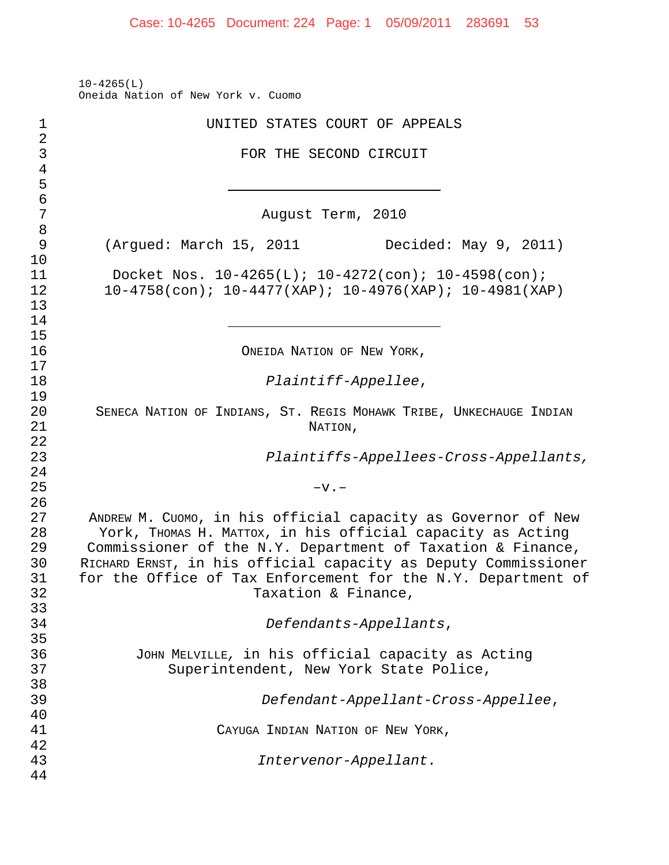10-4265(L) Oneida Nation of New York v. Cuomo

| 1              | UNITED STATES COURT OF APPEALS                                      |
|----------------|---------------------------------------------------------------------|
| $\overline{a}$ |                                                                     |
| $\mathsf{3}$   | FOR THE SECOND CIRCUIT                                              |
| $\overline{4}$ |                                                                     |
| 5              |                                                                     |
| $\overline{6}$ |                                                                     |
| 7              | August Term, 2010                                                   |
| 8              |                                                                     |
| 9              | (Argued: March 15, 2011<br>Decided: May 9, 2011)                    |
| 10             |                                                                     |
| 11             | Docket Nos. $10-4265(L)$ ; $10-4272(con)$ ; $10-4598(con)$ ;        |
| 12             | $10-4758$ (con); $10-4477$ (XAP); $10-4976$ (XAP); $10-4981$ (XAP)  |
| 13             |                                                                     |
| 14             |                                                                     |
| 15             |                                                                     |
| 16             | ONEIDA NATION OF NEW YORK,                                          |
| 17             |                                                                     |
| 18             | Plaintiff-Appellee,                                                 |
| 19             |                                                                     |
| 20             | SENECA NATION OF INDIANS, ST. REGIS MOHAWK TRIBE, UNKECHAUGE INDIAN |
| 21             | NATION,                                                             |
| 22             |                                                                     |
| 23             | Plaintiffs-Appellees-Cross-Appellants,                              |
| 24             |                                                                     |
| 25             | $-v.$                                                               |
| 26             |                                                                     |
| 27             | ANDREW M. CUOMO, in his official capacity as Governor of New        |
| 28             | York, THOMAS H. MATTOX, in his official capacity as Acting          |
| 29             | Commissioner of the N.Y. Department of Taxation & Finance,          |
| 30             | RICHARD ERNST, in his official capacity as Deputy Commissioner      |
| 31             | for the Office of Tax Enforcement for the N.Y. Department of        |
| 32             | Taxation & Finance,                                                 |
| 33             |                                                                     |
| 34             | Defendants-Appellants,                                              |
| 35             |                                                                     |
| 36             | JOHN MELVILLE, in his official capacity as Acting                   |
| 37             | Superintendent, New York State Police,                              |
| 38             |                                                                     |
| 39             | Defendant-Appellant-Cross-Appellee,                                 |
| 40             |                                                                     |
| 41             | CAYUGA INDIAN NATION OF NEW YORK,                                   |
| 42             |                                                                     |
| 43             | Intervenor-Appellant.                                               |
| 44             |                                                                     |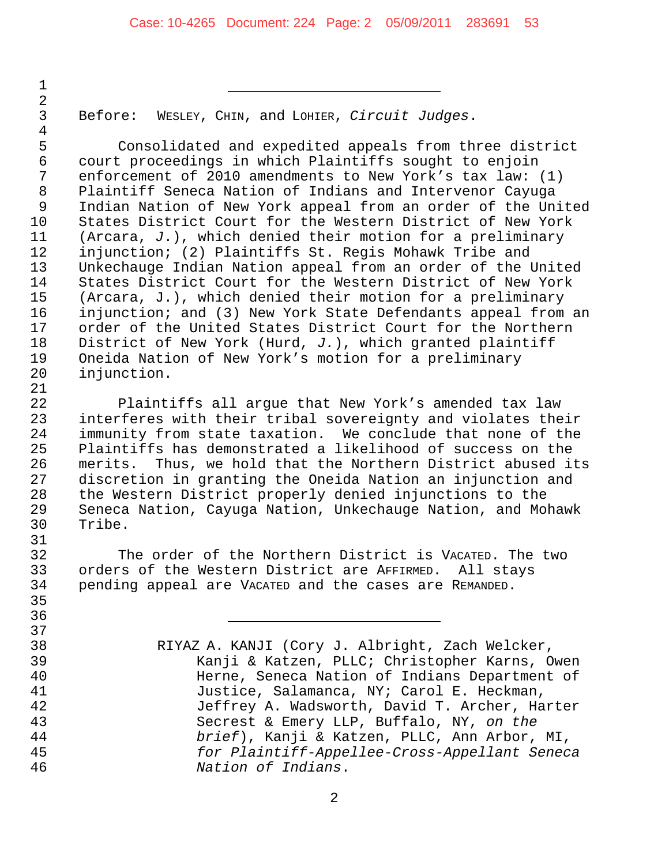and  $\overline{1}$  and  $\overline{1}$  and  $\overline{1}$  and  $\overline{1}$  and  $\overline{1}$  and  $\overline{1}$  and  $\overline{1}$  and  $\overline{1}$  and  $\overline{1}$  and  $\overline{1}$  and  $\overline{1}$  and  $\overline{1}$  and  $\overline{1}$  and  $\overline{1}$  and  $\overline{1}$  and  $\overline{1}$  and  $\overline{$ 

Before: WESLEY, CHIN, and LOHIER, *Circuit Judges*.

5 Consolidated and expedited appeals from three district<br>6 court proceedings in which Plaintiffs sought to enjoin court proceedings in which Plaintiffs sought to enjoin enforcement of 2010 amendments to New York's tax law: (1) Plaintiff Seneca Nation of Indians and Intervenor Cayuga Indian Nation of New York appeal from an order of the United States District Court for the Western District of New York (Arcara, *J*.), which denied their motion for a preliminary injunction; (2) Plaintiffs St. Regis Mohawk Tribe and Unkechauge Indian Nation appeal from an order of the United States District Court for the Western District of New York (Arcara, J.), which denied their motion for a preliminary injunction; and (3) New York State Defendants appeal from an order of the United States District Court for the Northern District of New York (Hurd, *J.*), which granted plaintiff 19 Oneida Nation of New York's motion for a preliminary<br>20 injunction. injunction.

21<br>22 Plaintiffs all argue that New York's amended tax law interferes with their tribal sovereignty and violates their immunity from state taxation. We conclude that none of the Plaintiffs has demonstrated a likelihood of success on the merits. Thus, we hold that the Northern District abused its discretion in granting the Oneida Nation an injunction and the Western District properly denied injunctions to the Seneca Nation, Cayuga Nation, Unkechauge Nation, and Mohawk Tribe.

 The order of the Northern District is VACATED. The two orders of the Western District are AFFIRMED. All stays pending appeal are VACATED and the cases are REMANDED.

 RIYAZ A. KANJI (Cory J. Albright, Zach Welcker, Kanji & Katzen, PLLC; Christopher Karns, Owen Herne, Seneca Nation of Indians Department of Justice, Salamanca, NY; Carol E. Heckman, Jeffrey A. Wadsworth, David T. Archer, Harter Secrest & Emery LLP, Buffalo, NY, *on the brief*), Kanji & Katzen, PLLC, Ann Arbor, MI, *for Plaintiff-Appellee-Cross-Appellant Seneca Nation of Indians*.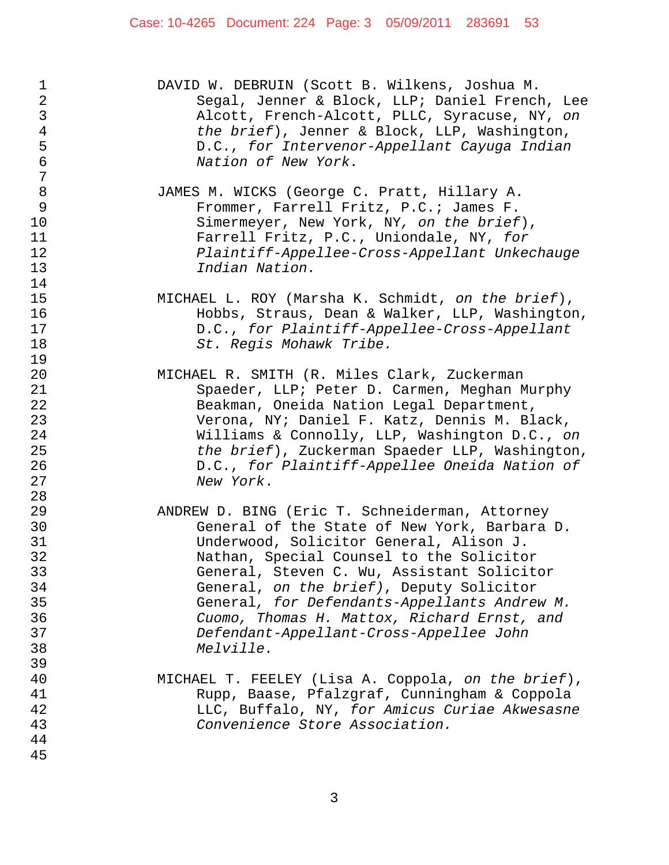| $\mathbf 1$<br>$\mathbf{2}$<br>3<br>4<br>5<br>6<br>7 | DAVID W. DEBRUIN (Scott B. Wilkens, Joshua M.<br>Segal, Jenner & Block, LLP; Daniel French, Lee<br>Alcott, French-Alcott, PLLC, Syracuse, NY, on<br>the brief), Jenner & Block, LLP, Washington,<br>D.C., for Intervenor-Appellant Cayuga Indian<br>Nation of New York. |
|------------------------------------------------------|-------------------------------------------------------------------------------------------------------------------------------------------------------------------------------------------------------------------------------------------------------------------------|
| $\,8\,$                                              | JAMES M. WICKS (George C. Pratt, Hillary A.                                                                                                                                                                                                                             |
| $\mathcal{G}$                                        | Frommer, Farrell Fritz, P.C.; James F.                                                                                                                                                                                                                                  |
| 10                                                   | Simermeyer, New York, NY, on the brief),                                                                                                                                                                                                                                |
| 11                                                   | Farrell Fritz, P.C., Uniondale, NY, for                                                                                                                                                                                                                                 |
| 12                                                   | Plaintiff-Appellee-Cross-Appellant Unkechauge                                                                                                                                                                                                                           |
| 13                                                   | Indian Nation.                                                                                                                                                                                                                                                          |
| 14                                                   |                                                                                                                                                                                                                                                                         |
| 15                                                   | MICHAEL L. ROY (Marsha K. Schmidt, on the brief),                                                                                                                                                                                                                       |
| 16                                                   | Hobbs, Straus, Dean & Walker, LLP, Washington,                                                                                                                                                                                                                          |
| 17                                                   | D.C., for Plaintiff-Appellee-Cross-Appellant                                                                                                                                                                                                                            |
| 18                                                   | St. Regis Mohawk Tribe.                                                                                                                                                                                                                                                 |
| 19                                                   |                                                                                                                                                                                                                                                                         |
| 20                                                   | MICHAEL R. SMITH (R. Miles Clark, Zuckerman                                                                                                                                                                                                                             |
| 21                                                   | Spaeder, LLP; Peter D. Carmen, Meghan Murphy                                                                                                                                                                                                                            |
| 22                                                   | Beakman, Oneida Nation Legal Department,                                                                                                                                                                                                                                |
| 23                                                   | Verona, NY; Daniel F. Katz, Dennis M. Black,                                                                                                                                                                                                                            |
| 24                                                   | Williams & Connolly, LLP, Washington D.C., on                                                                                                                                                                                                                           |
| 25                                                   | the brief), Zuckerman Spaeder LLP, Washington,                                                                                                                                                                                                                          |
| 26                                                   | D.C., for Plaintiff-Appellee Oneida Nation of                                                                                                                                                                                                                           |
| 27                                                   | New York.                                                                                                                                                                                                                                                               |
| 28                                                   |                                                                                                                                                                                                                                                                         |
| 29                                                   | ANDREW D. BING (Eric T. Schneiderman, Attorney                                                                                                                                                                                                                          |
| 30                                                   | General of the State of New York, Barbara D.                                                                                                                                                                                                                            |
| 31                                                   | Underwood, Solicitor General, Alison J.                                                                                                                                                                                                                                 |
| 32                                                   | Nathan, Special Counsel to the Solicitor                                                                                                                                                                                                                                |
| 33                                                   | General, Steven C. Wu, Assistant Solicitor                                                                                                                                                                                                                              |
| 34                                                   | General, on the brief), Deputy Solicitor                                                                                                                                                                                                                                |
| 35                                                   | General, for Defendants-Appellants Andrew M.                                                                                                                                                                                                                            |
| 36                                                   | Cuomo, Thomas H. Mattox, Richard Ernst, and                                                                                                                                                                                                                             |
| 37                                                   | Defendant-Appellant-Cross-Appellee John                                                                                                                                                                                                                                 |
| 38                                                   | Melville.                                                                                                                                                                                                                                                               |
| 39                                                   |                                                                                                                                                                                                                                                                         |
| 40                                                   | MICHAEL T. FEELEY (Lisa A. Coppola, on the brief),                                                                                                                                                                                                                      |
| 41                                                   | Rupp, Baase, Pfalzgraf, Cunningham & Coppola                                                                                                                                                                                                                            |
| 42                                                   | LLC, Buffalo, NY, for Amicus Curiae Akwesasne                                                                                                                                                                                                                           |
| 43                                                   | Convenience Store Association.                                                                                                                                                                                                                                          |
| 44                                                   |                                                                                                                                                                                                                                                                         |
| 45                                                   |                                                                                                                                                                                                                                                                         |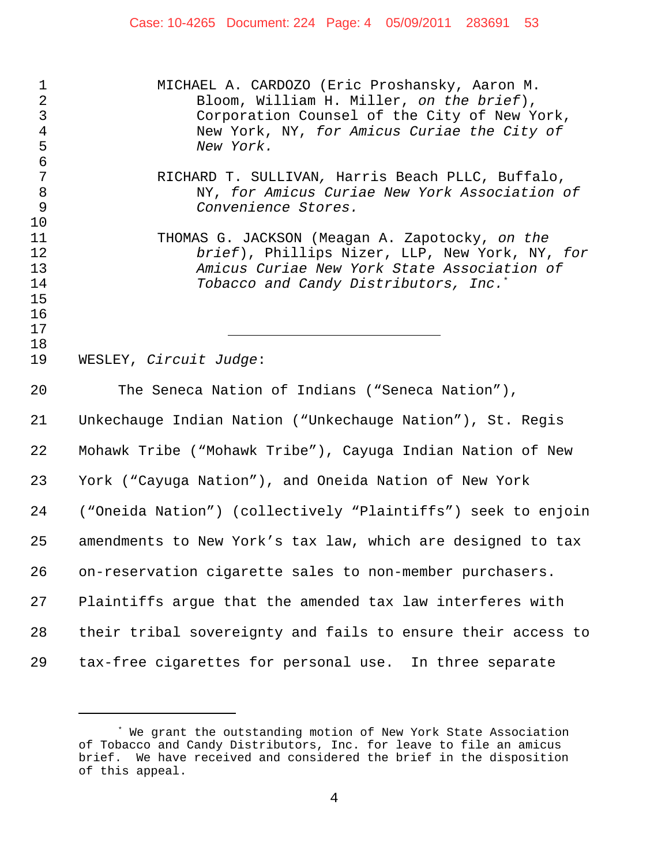# Case: 10-4265 Document: 224 Page: 4 05/09/2011 283691 53

| $\mathbf 1$<br>$\sqrt{2}$<br>$\frac{3}{4}$<br>5        | MICHAEL A. CARDOZO (Eric Proshansky, Aaron M.<br>Bloom, William H. Miller, on the brief),<br>Corporation Counsel of the City of New York,<br>New York, NY, for Amicus Curiae the City of<br>New York. |
|--------------------------------------------------------|-------------------------------------------------------------------------------------------------------------------------------------------------------------------------------------------------------|
| $\epsilon$<br>$\overline{7}$<br>$\,8\,$<br>$\mathsf 9$ | RICHARD T. SULLIVAN, Harris Beach PLLC, Buffalo,<br>NY, for Amicus Curiae New York Association of<br>Convenience Stores.                                                                              |
| 10<br>11<br>12<br>13<br>14<br>15<br>16                 | THOMAS G. JACKSON (Meagan A. Zapotocky, on the<br>brief), Phillips Nizer, LLP, New York, NY, for<br>Amicus Curiae New York State Association of<br>Tobacco and Candy Distributors, Inc. <sup>*</sup>  |
| 17<br>18<br>19                                         | WESLEY, Circuit Judge:                                                                                                                                                                                |
| 20                                                     | The Seneca Nation of Indians ("Seneca Nation"),                                                                                                                                                       |
| 21                                                     | Unkechauge Indian Nation ("Unkechauge Nation"), St. Regis                                                                                                                                             |
| 22                                                     | Mohawk Tribe ("Mohawk Tribe"), Cayuga Indian Nation of New                                                                                                                                            |
| 23                                                     | York ("Cayuga Nation"), and Oneida Nation of New York                                                                                                                                                 |
| 24                                                     | ("Oneida Nation") (collectively "Plaintiffs") seek to enjoin                                                                                                                                          |
| 25                                                     | amendments to New York's tax law, which are designed to tax                                                                                                                                           |
| 26                                                     | on-reservation cigarette sales to non-member purchasers.                                                                                                                                              |
| 27                                                     | Plaintiffs argue that the amended tax law interferes with                                                                                                                                             |
| 28                                                     | their tribal sovereignty and fails to ensure their access to                                                                                                                                          |
| 29                                                     | tax-free cigarettes for personal use. In three separate                                                                                                                                               |

<sup>\*</sup> We grant the outstanding motion of New York State Association of Tobacco and Candy Distributors, Inc. for leave to file an amicus brief. We have received and considered the brief in the disposition of this appeal.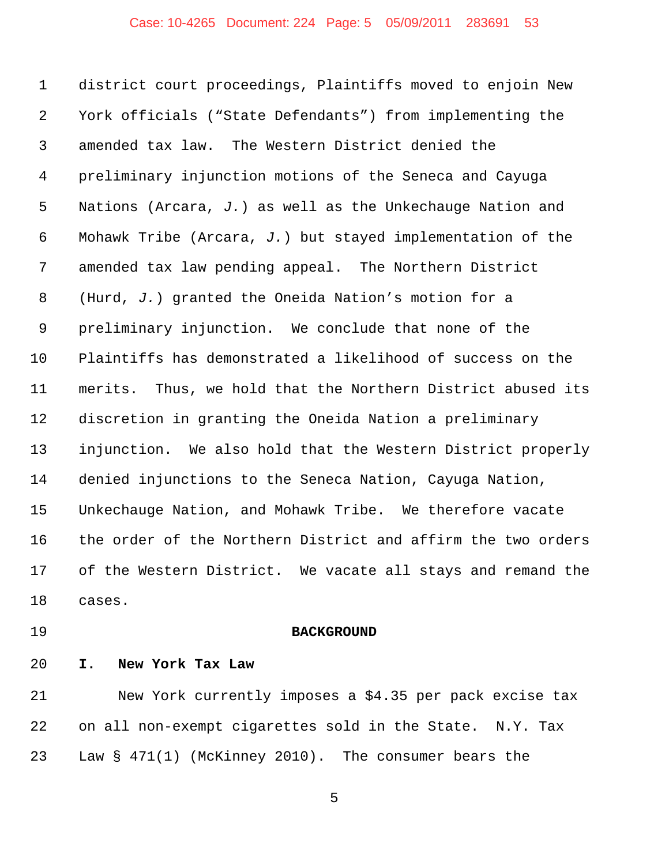## Case: 10-4265 Document: 224 Page: 5 05/09/2011 283691 53

 district court proceedings, Plaintiffs moved to enjoin New York officials ("State Defendants") from implementing the amended tax law. The Western District denied the preliminary injunction motions of the Seneca and Cayuga Nations (Arcara, *J.*) as well as the Unkechauge Nation and Mohawk Tribe (Arcara, *J.*) but stayed implementation of the amended tax law pending appeal. The Northern District (Hurd, *J.*) granted the Oneida Nation's motion for a preliminary injunction. We conclude that none of the Plaintiffs has demonstrated a likelihood of success on the merits. Thus, we hold that the Northern District abused its discretion in granting the Oneida Nation a preliminary injunction. We also hold that the Western District properly denied injunctions to the Seneca Nation, Cayuga Nation, Unkechauge Nation, and Mohawk Tribe. We therefore vacate the order of the Northern District and affirm the two orders of the Western District. We vacate all stays and remand the cases.

#### **BACKGROUND**

**I. New York Tax Law**

 New York currently imposes a \$4.35 per pack excise tax on all non-exempt cigarettes sold in the State. N.Y. Tax Law § 471(1) (McKinney 2010). The consumer bears the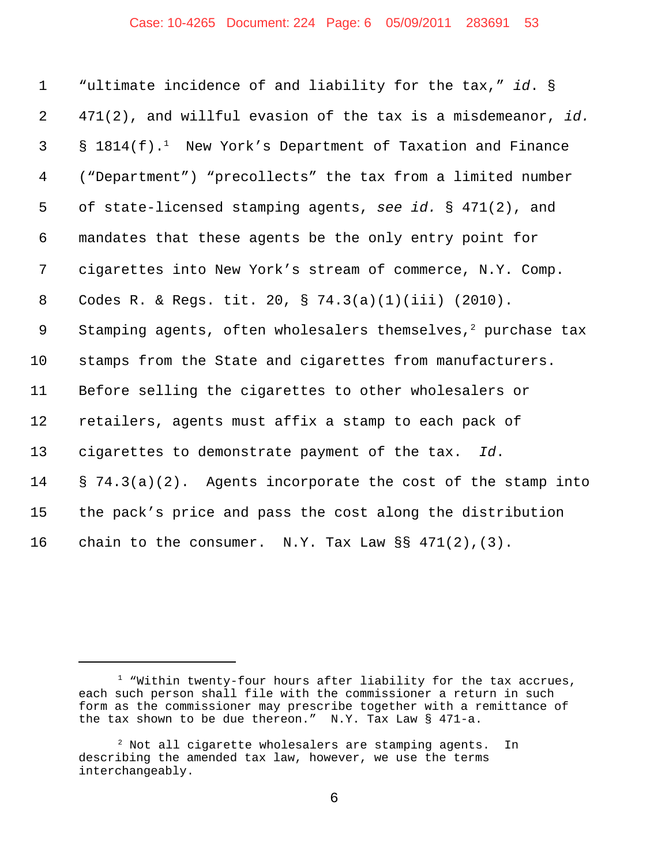# Case: 10-4265 Document: 224 Page: 6 05/09/2011 283691 53

| $\mathbf{1}$   | "ultimate incidence of and liability for the tax," id. §                 |
|----------------|--------------------------------------------------------------------------|
| $\overline{2}$ | 471(2), and willful evasion of the tax is a misdemeanor, id.             |
| 3              | $\S$ 1814(f). <sup>1</sup> New York's Department of Taxation and Finance |
| $\overline{4}$ | ("Department") "precollects" the tax from a limited number               |
| 5              | of state-licensed stamping agents, see id. $\S$ 471(2), and              |
| 6              | mandates that these agents be the only entry point for                   |
| 7              | cigarettes into New York's stream of commerce, N.Y. Comp.                |
| 8              | Codes R. & Regs. tit. 20, § 74.3(a)(1)(iii) (2010).                      |
| $\overline{9}$ | Stamping agents, often wholesalers themselves, $2$ purchase tax          |
| 10             | stamps from the State and cigarettes from manufacturers.                 |
| 11             | Before selling the cigarettes to other wholesalers or                    |
| 12             | retailers, agents must affix a stamp to each pack of                     |
| 13             | cigarettes to demonstrate payment of the tax. Id.                        |
| 14             | $\S$ 74.3(a)(2). Agents incorporate the cost of the stamp into           |
| 15             | the pack's price and pass the cost along the distribution                |
| 16             | chain to the consumer. N.Y. Tax Law $\S$ 471(2), (3).                    |

<sup>&</sup>lt;sup>1</sup> "Within twenty-four hours after liability for the tax accrues, each such person shall file with the commissioner a return in such form as the commissioner may prescribe together with a remittance of the tax shown to be due thereon." N.Y. Tax Law § 471-a.

<sup>&</sup>lt;sup>2</sup> Not all cigarette wholesalers are stamping agents. In describing the amended tax law, however, we use the terms interchangeably.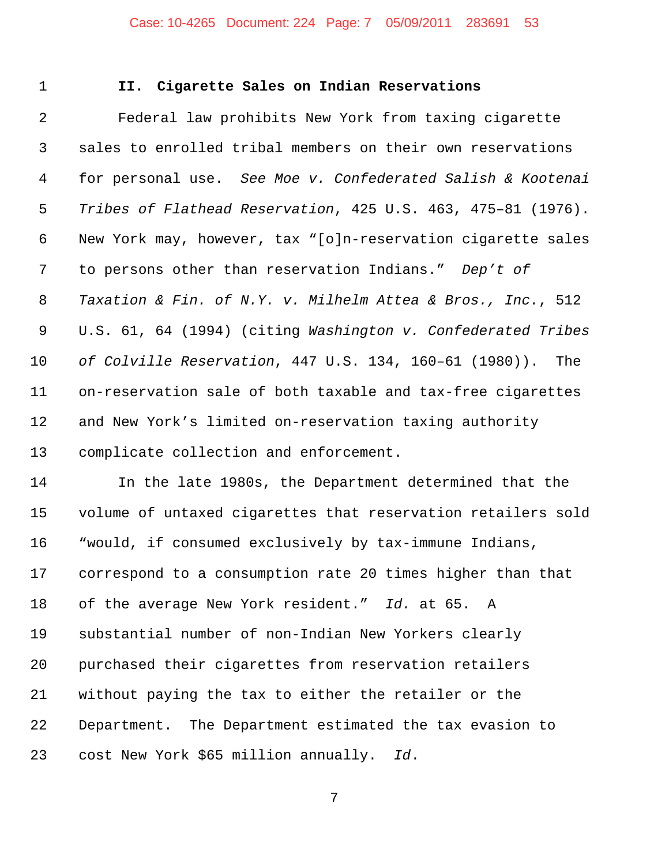## Case: 10-4265 Document: 224 Page: 7 05/09/2011 283691 53

## **II. Cigarette Sales on Indian Reservations**

 Federal law prohibits New York from taxing cigarette sales to enrolled tribal members on their own reservations for personal use. *See Moe v. Confederated Salish & Kootenai Tribes of Flathead Reservation*, 425 U.S. 463, 475–81 (1976). New York may, however, tax "[o]n-reservation cigarette sales to persons other than reservation Indians." *Dep't of Taxation & Fin. of N.Y. v. Milhelm Attea & Bros., Inc.*, 512 U.S. 61, 64 (1994) (citing *Washington v. Confederated Tribes of Colville Reservation*, 447 U.S. 134, 160–61 (1980)). The on-reservation sale of both taxable and tax-free cigarettes and New York's limited on-reservation taxing authority complicate collection and enforcement.

 In the late 1980s, the Department determined that the volume of untaxed cigarettes that reservation retailers sold "would, if consumed exclusively by tax-immune Indians, correspond to a consumption rate 20 times higher than that of the average New York resident." *Id.* at 65. A substantial number of non-Indian New Yorkers clearly purchased their cigarettes from reservation retailers without paying the tax to either the retailer or the Department. The Department estimated the tax evasion to cost New York \$65 million annually. *Id*.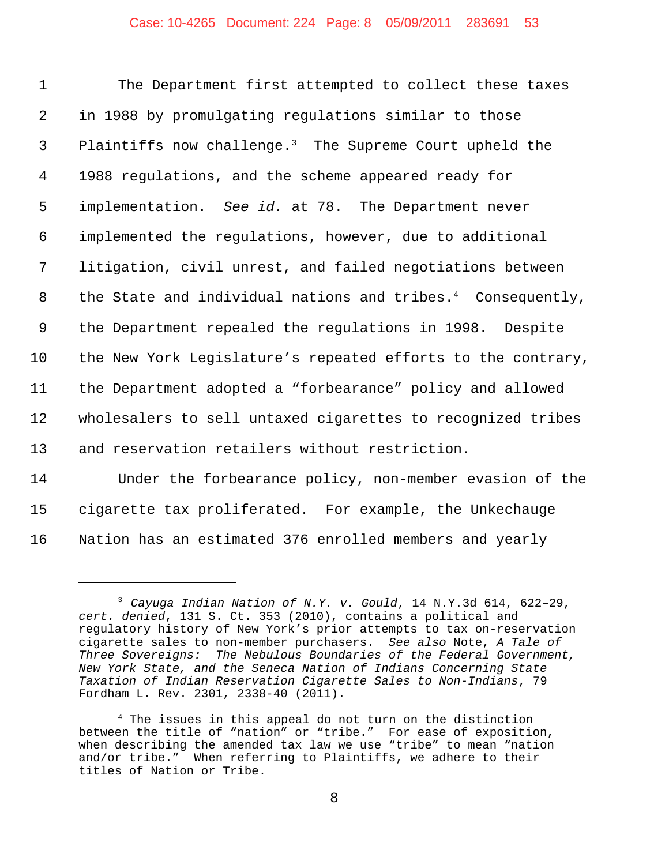## Case: 10-4265 Document: 224 Page: 8 05/09/2011 283691 53

| $\mathbf{1}$   | The Department first attempted to collect these taxes                   |
|----------------|-------------------------------------------------------------------------|
| $\overline{2}$ | in 1988 by promulgating regulations similar to those                    |
| $\mathsf{3}$   | Plaintiffs now challenge. <sup>3</sup> The Supreme Court upheld the     |
| 4              | 1988 regulations, and the scheme appeared ready for                     |
| 5              | implementation. See id. at 78. The Department never                     |
| 6              | implemented the regulations, however, due to additional                 |
| 7              | litigation, civil unrest, and failed negotiations between               |
| 8              | the State and individual nations and tribes. <sup>4</sup> Consequently, |
| 9              | the Department repealed the regulations in 1998. Despite                |
| 10             | the New York Legislature's repeated efforts to the contrary,            |
| 11             | the Department adopted a "forbearance" policy and allowed               |
| 12             | wholesalers to sell untaxed cigarettes to recognized tribes             |
| 13             | and reservation retailers without restriction.                          |
| 1 A            | المسائلات كالمنابذ المواطن                                              |

14 Under the forbearance policy, non-member evasion of the 15 cigarette tax proliferated. For example, the Unkechauge 16 Nation has an estimated 376 enrolled members and yearly

<sup>3</sup> *Cayuga Indian Nation of N.Y. v. Gould*, 14 N.Y.3d 614, 622–29, *cert. denied*, 131 S. Ct. 353 (2010), contains a political and regulatory history of New York's prior attempts to tax on-reservation cigarette sales to non-member purchasers. *See also* Note, *A Tale of Three Sovereigns: The Nebulous Boundaries of the Federal Government, New York State, and the Seneca Nation of Indians Concerning State Taxation of Indian Reservation Cigarette Sales to Non-Indians*, 79 Fordham L. Rev. 2301, 2338-40 (2011).

<sup>4</sup> The issues in this appeal do not turn on the distinction between the title of "nation" or "tribe." For ease of exposition, when describing the amended tax law we use "tribe" to mean "nation and/or tribe." When referring to Plaintiffs, we adhere to their titles of Nation or Tribe.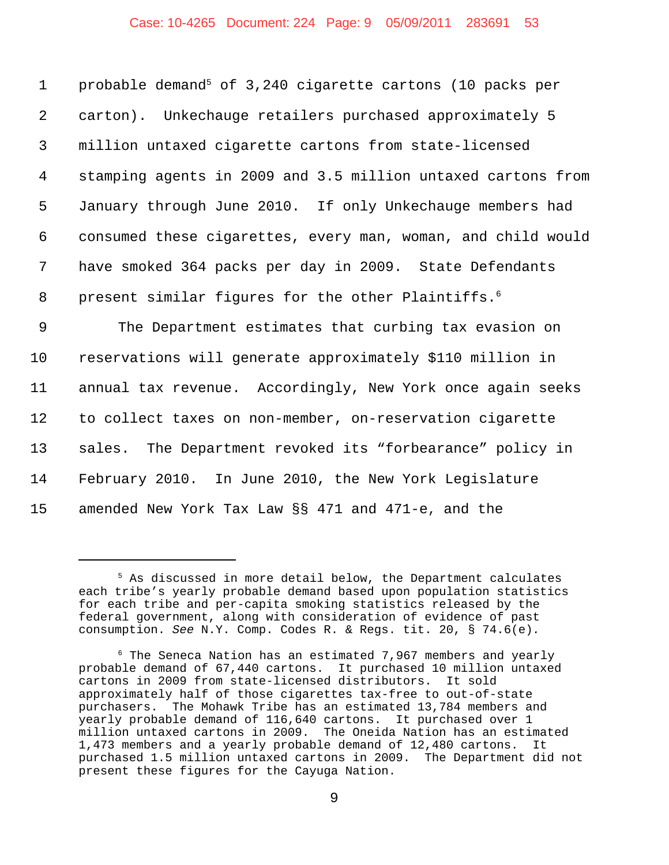## Case: 10-4265 Document: 224 Page: 9 05/09/2011 283691 53

1 probable demand<sup>5</sup> of 3,240 cigarette cartons (10 packs per carton). Unkechauge retailers purchased approximately 5 million untaxed cigarette cartons from state-licensed stamping agents in 2009 and 3.5 million untaxed cartons from January through June 2010. If only Unkechauge members had consumed these cigarettes, every man, woman, and child would have smoked 364 packs per day in 2009. State Defendants 8 present similar figures for the other Plaintiffs.<sup>6</sup>

 The Department estimates that curbing tax evasion on reservations will generate approximately \$110 million in annual tax revenue. Accordingly, New York once again seeks to collect taxes on non-member, on-reservation cigarette sales. The Department revoked its "forbearance" policy in February 2010. In June 2010, the New York Legislature amended New York Tax Law §§ 471 and 471-e, and the

<sup>5</sup> As discussed in more detail below, the Department calculates each tribe's yearly probable demand based upon population statistics for each tribe and per-capita smoking statistics released by the federal government, along with consideration of evidence of past consumption. *See* N.Y. Comp. Codes R. & Regs. tit. 20, § 74.6(e)*.* 

 $6$  The Seneca Nation has an estimated 7,967 members and yearly probable demand of 67,440 cartons. It purchased 10 million untaxed cartons in 2009 from state-licensed distributors. It sold approximately half of those cigarettes tax-free to out-of-state purchasers. The Mohawk Tribe has an estimated 13,784 members and yearly probable demand of 116,640 cartons. It purchased over 1 million untaxed cartons in 2009. The Oneida Nation has an estimated 1,473 members and a yearly probable demand of 12,480 cartons. It purchased 1.5 million untaxed cartons in 2009. The Department did not present these figures for the Cayuga Nation.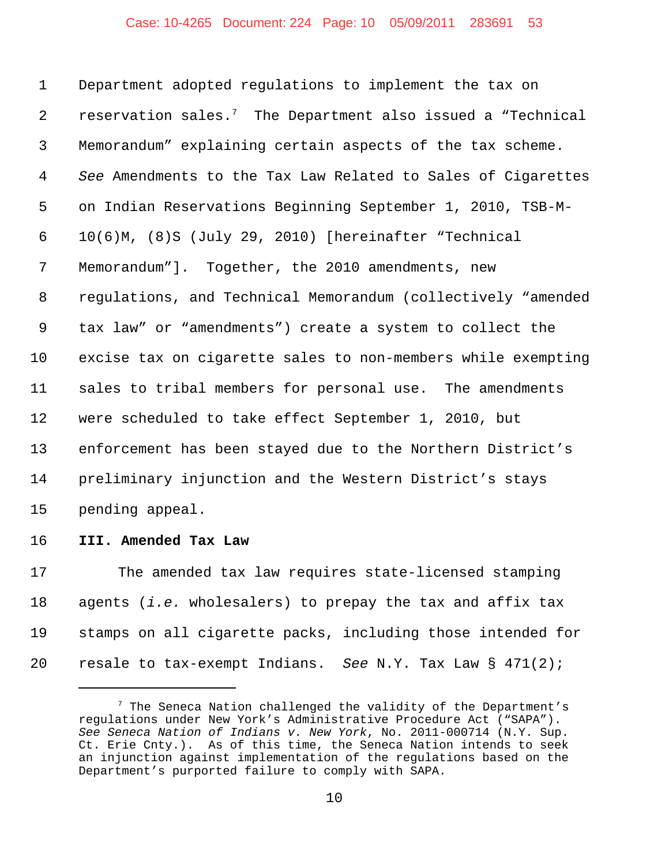# Case: 10-4265 Document: 224 Page: 10 05/09/2011 283691 53

 Department adopted regulations to implement the tax on 2 reservation sales.<sup>7</sup> The Department also issued a "Technical Memorandum" explaining certain aspects of the tax scheme. *See* Amendments to the Tax Law Related to Sales of Cigarettes on Indian Reservations Beginning September 1, 2010, TSB-M- 10(6)M, (8)S (July 29, 2010) [hereinafter "Technical Memorandum"]. Together, the 2010 amendments, new regulations, and Technical Memorandum (collectively "amended tax law" or "amendments") create a system to collect the excise tax on cigarette sales to non-members while exempting sales to tribal members for personal use. The amendments were scheduled to take effect September 1, 2010, but enforcement has been stayed due to the Northern District's preliminary injunction and the Western District's stays pending appeal.

**III. Amended Tax Law**

 The amended tax law requires state-licensed stamping agents (*i.e.* wholesalers) to prepay the tax and affix tax stamps on all cigarette packs, including those intended for resale to tax-exempt Indians. *See* N.Y. Tax Law § 471(2);

 The Seneca Nation challenged the validity of the Department's regulations under New York's Administrative Procedure Act ("SAPA"). *See Seneca Nation of Indians v. New York*, No. 2011-000714 (N.Y. Sup. Ct. Erie Cnty.). As of this time, the Seneca Nation intends to seek an injunction against implementation of the regulations based on the Department's purported failure to comply with SAPA.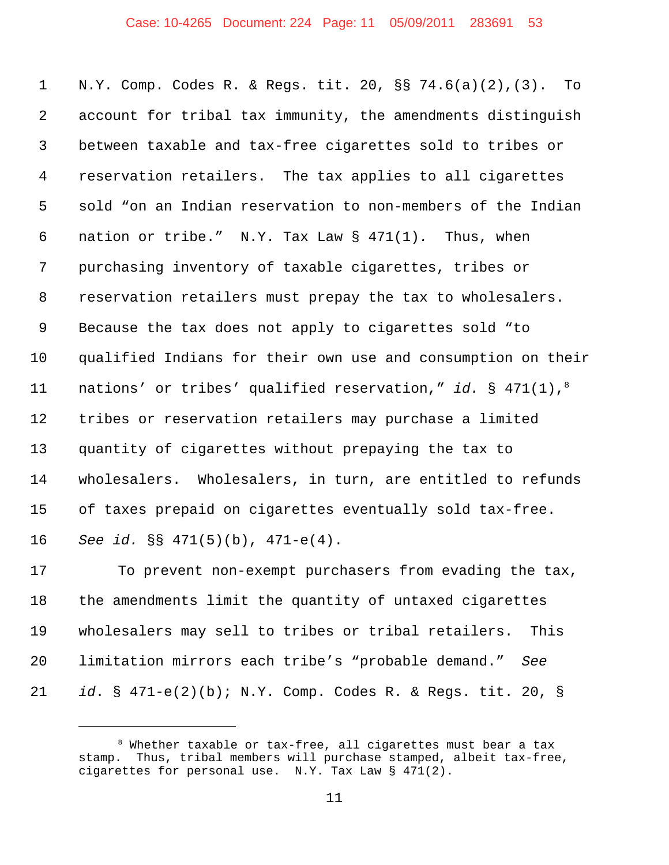# Case: 10-4265 Document: 224 Page: 11 05/09/2011 283691 53

 N.Y. Comp. Codes R. & Regs. tit. 20, §§ 74.6(a)(2),(3). To account for tribal tax immunity, the amendments distinguish between taxable and tax-free cigarettes sold to tribes or reservation retailers. The tax applies to all cigarettes sold "on an Indian reservation to non-members of the Indian nation or tribe." N.Y. Tax Law § 471(1)*.* Thus, when purchasing inventory of taxable cigarettes, tribes or reservation retailers must prepay the tax to wholesalers. Because the tax does not apply to cigarettes sold "to qualified Indians for their own use and consumption on their nations' or tribes' qualified reservation," *id.* § 471(1),8 tribes or reservation retailers may purchase a limited quantity of cigarettes without prepaying the tax to wholesalers. Wholesalers, in turn, are entitled to refunds of taxes prepaid on cigarettes eventually sold tax-free. *See id.* §§ 471(5)(b), 471-e(4).

 To prevent non-exempt purchasers from evading the tax, the amendments limit the quantity of untaxed cigarettes wholesalers may sell to tribes or tribal retailers. This limitation mirrors each tribe's "probable demand." *See id*. § 471-e(2)(b); N.Y. Comp. Codes R. & Regs. tit. 20, §

 Whether taxable or tax-free, all cigarettes must bear a tax stamp. Thus, tribal members will purchase stamped, albeit tax-free, cigarettes for personal use. N.Y. Tax Law § 471(2).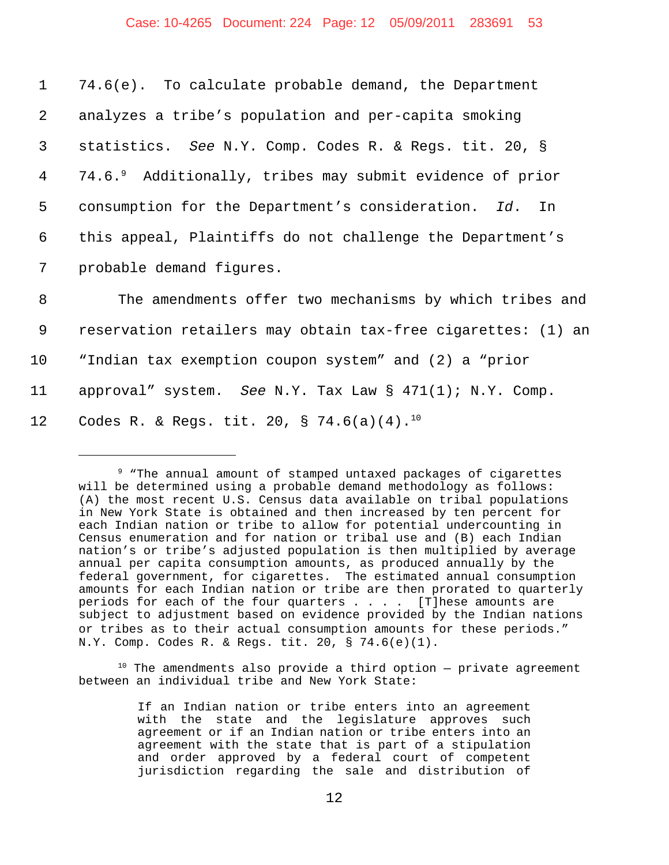# Case: 10-4265 Document: 224 Page: 12 05/09/2011 283691 53

 74.6(e). To calculate probable demand, the Department analyzes a tribe's population and per-capita smoking statistics. *See* N.Y. Comp. Codes R. & Regs. tit. 20, § 74.6.9 4 Additionally, tribes may submit evidence of prior consumption for the Department's consideration. *Id*. In this appeal, Plaintiffs do not challenge the Department's probable demand figures.

 The amendments offer two mechanisms by which tribes and reservation retailers may obtain tax-free cigarettes: (1) an "Indian tax exemption coupon system" and (2) a "prior approval" system. *See* N.Y. Tax Law § 471(1); N.Y. Comp. 12 Codes R. & Regs. tit. 20, § 74.6(a)(4).<sup>10</sup>

 $10$  The amendments also provide a third option  $-$  private agreement between an individual tribe and New York State:

<sup>9 &</sup>quot;The annual amount of stamped untaxed packages of cigarettes will be determined using a probable demand methodology as follows: (A) the most recent U.S. Census data available on tribal populations in New York State is obtained and then increased by ten percent for each Indian nation or tribe to allow for potential undercounting in Census enumeration and for nation or tribal use and (B) each Indian nation's or tribe's adjusted population is then multiplied by average annual per capita consumption amounts, as produced annually by the federal government, for cigarettes. The estimated annual consumption amounts for each Indian nation or tribe are then prorated to quarterly periods for each of the four quarters  $\ldots$  . . [T]hese amounts are subject to adjustment based on evidence provided by the Indian nations or tribes as to their actual consumption amounts for these periods." N.Y. Comp. Codes R. & Regs. tit. 20, § 74.6(e)(1).

If an Indian nation or tribe enters into an agreement with the state and the legislature approves such agreement or if an Indian nation or tribe enters into an agreement with the state that is part of a stipulation and order approved by a federal court of competent jurisdiction regarding the sale and distribution of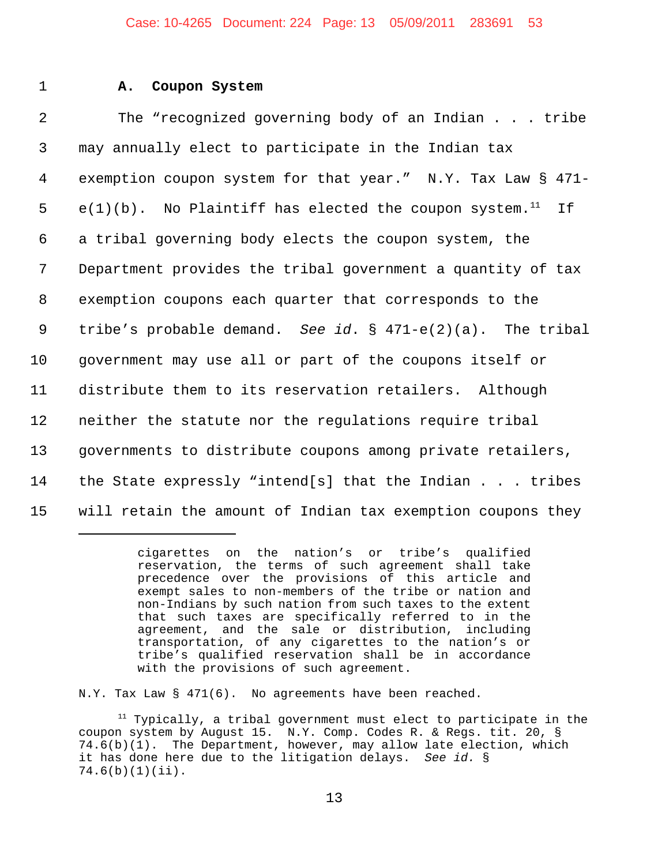#### Case: 10-4265 Document: 224 Page: 13 05/09/2011 283691 53

#### 1 **A. Coupon System**

 The "recognized governing body of an Indian . . . tribe may annually elect to participate in the Indian tax exemption coupon system for that year." N.Y. Tax Law § 471- 5 e(1)(b). No Plaintiff has elected the coupon system.<sup>11</sup> If a tribal governing body elects the coupon system, the Department provides the tribal government a quantity of tax exemption coupons each quarter that corresponds to the tribe's probable demand. *See id*. § 471-e(2)(a). The tribal government may use all or part of the coupons itself or distribute them to its reservation retailers. Although neither the statute nor the regulations require tribal governments to distribute coupons among private retailers, the State expressly "intend[s] that the Indian . . . tribes will retain the amount of Indian tax exemption coupons they

N.Y. Tax Law § 471(6). No agreements have been reached.

 $11$  Typically, a tribal government must elect to participate in the coupon system by August 15. N.Y. Comp. Codes R. & Regs. tit. 20, § 74.6(b)(1). The Department, however, may allow late election, which it has done here due to the litigation delays. *See id.* § 74.6(b)(1)(ii).

cigarettes on the nation's or tribe's qualified reservation, the terms of such agreement shall take precedence over the provisions of this article and exempt sales to non-members of the tribe or nation and non-Indians by such nation from such taxes to the extent that such taxes are specifically referred to in the agreement, and the sale or distribution, including transportation, of any cigarettes to the nation's or tribe's qualified reservation shall be in accordance with the provisions of such agreement.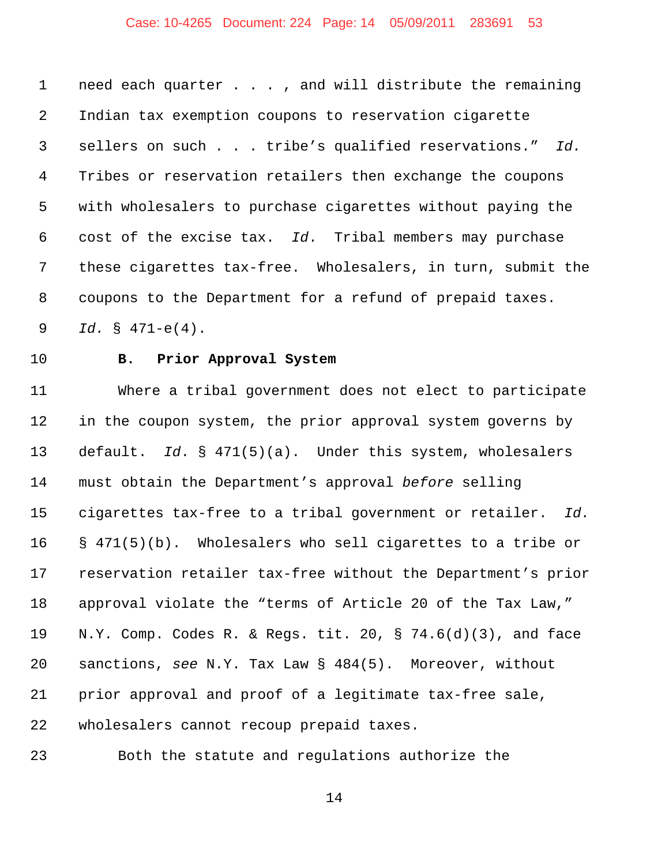## Case: 10-4265 Document: 224 Page: 14 05/09/2011 283691 53

 need each quarter . . . , and will distribute the remaining Indian tax exemption coupons to reservation cigarette sellers on such . . . tribe's qualified reservations." *Id.*  Tribes or reservation retailers then exchange the coupons with wholesalers to purchase cigarettes without paying the cost of the excise tax. *Id*. Tribal members may purchase these cigarettes tax-free. Wholesalers, in turn, submit the coupons to the Department for a refund of prepaid taxes. *Id.* § 471-e(4).

# **B. Prior Approval System**

 Where a tribal government does not elect to participate 12 in the coupon system, the prior approval system governs by default. *Id*. § 471(5)(a). Under this system, wholesalers must obtain the Department's approval *before* selling cigarettes tax-free to a tribal government or retailer. *Id.* § 471(5)(b). Wholesalers who sell cigarettes to a tribe or reservation retailer tax-free without the Department's prior approval violate the "terms of Article 20 of the Tax Law," N.Y. Comp. Codes R. & Regs. tit. 20, § 74.6(d)(3), and face sanctions, *see* N.Y. Tax Law § 484(5). Moreover, without prior approval and proof of a legitimate tax-free sale, wholesalers cannot recoup prepaid taxes.

Both the statute and regulations authorize the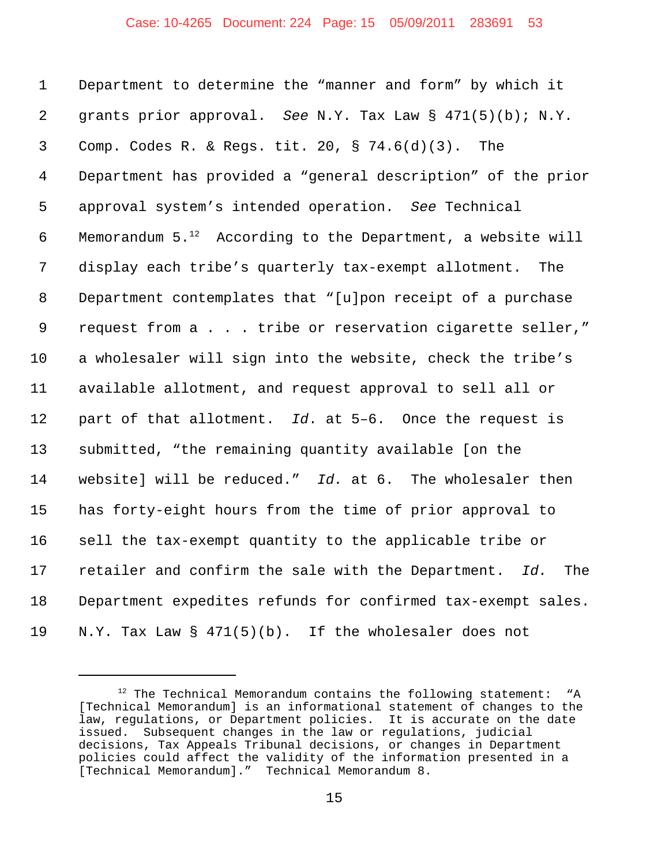#### Case: 10-4265 Document: 224 Page: 15 05/09/2011 283691 53

 Department to determine the "manner and form" by which it grants prior approval. *See* N.Y. Tax Law § 471(5)(b); N.Y. Comp. Codes R. & Regs. tit. 20, § 74.6(d)(3). The Department has provided a "general description" of the prior approval system's intended operation. *See* Technical 6 Memorandum  $5.^{12}$  According to the Department, a website will display each tribe's quarterly tax-exempt allotment. The Department contemplates that "[u]pon receipt of a purchase request from a . . . tribe or reservation cigarette seller," a wholesaler will sign into the website, check the tribe's available allotment, and request approval to sell all or part of that allotment. *Id*. at 5–6. Once the request is submitted, "the remaining quantity available [on the website] will be reduced." *Id.* at 6. The wholesaler then has forty-eight hours from the time of prior approval to sell the tax-exempt quantity to the applicable tribe or retailer and confirm the sale with the Department. *Id.* The Department expedites refunds for confirmed tax-exempt sales. N.Y. Tax Law § 471(5)(b). If the wholesaler does not

 The Technical Memorandum contains the following statement: "A [Technical Memorandum] is an informational statement of changes to the law, regulations, or Department policies. It is accurate on the date issued. Subsequent changes in the law or regulations, judicial decisions, Tax Appeals Tribunal decisions, or changes in Department policies could affect the validity of the information presented in a [Technical Memorandum]." Technical Memorandum 8.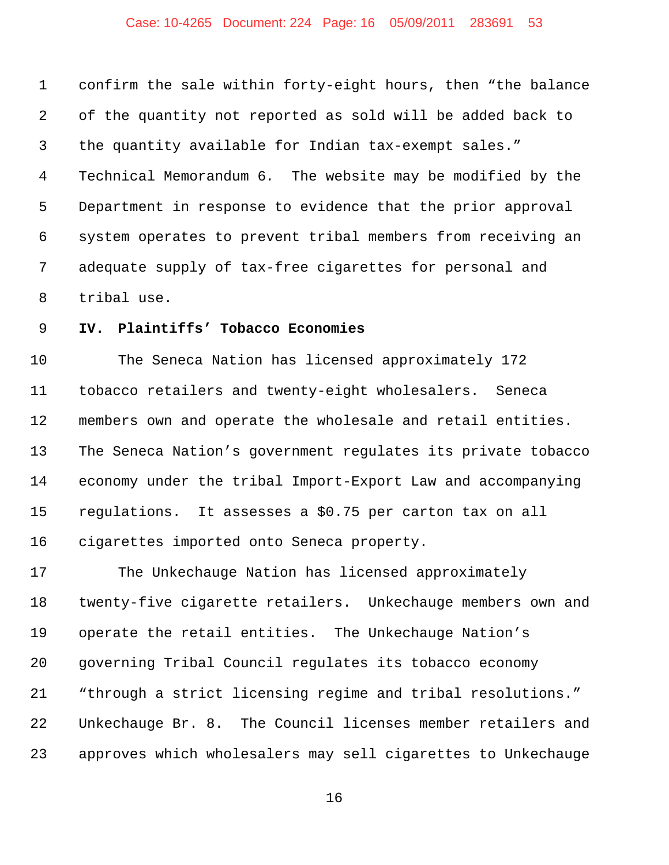## Case: 10-4265 Document: 224 Page: 16 05/09/2011 283691 53

 confirm the sale within forty-eight hours, then "the balance of the quantity not reported as sold will be added back to the quantity available for Indian tax-exempt sales." Technical Memorandum 6*.* The website may be modified by the Department in response to evidence that the prior approval system operates to prevent tribal members from receiving an adequate supply of tax-free cigarettes for personal and tribal use.

#### **IV. Plaintiffs' Tobacco Economies**

 The Seneca Nation has licensed approximately 172 tobacco retailers and twenty-eight wholesalers. Seneca members own and operate the wholesale and retail entities. The Seneca Nation's government regulates its private tobacco economy under the tribal Import-Export Law and accompanying regulations. It assesses a \$0.75 per carton tax on all cigarettes imported onto Seneca property.

 The Unkechauge Nation has licensed approximately twenty-five cigarette retailers. Unkechauge members own and operate the retail entities. The Unkechauge Nation's governing Tribal Council regulates its tobacco economy "through a strict licensing regime and tribal resolutions." Unkechauge Br. 8. The Council licenses member retailers and approves which wholesalers may sell cigarettes to Unkechauge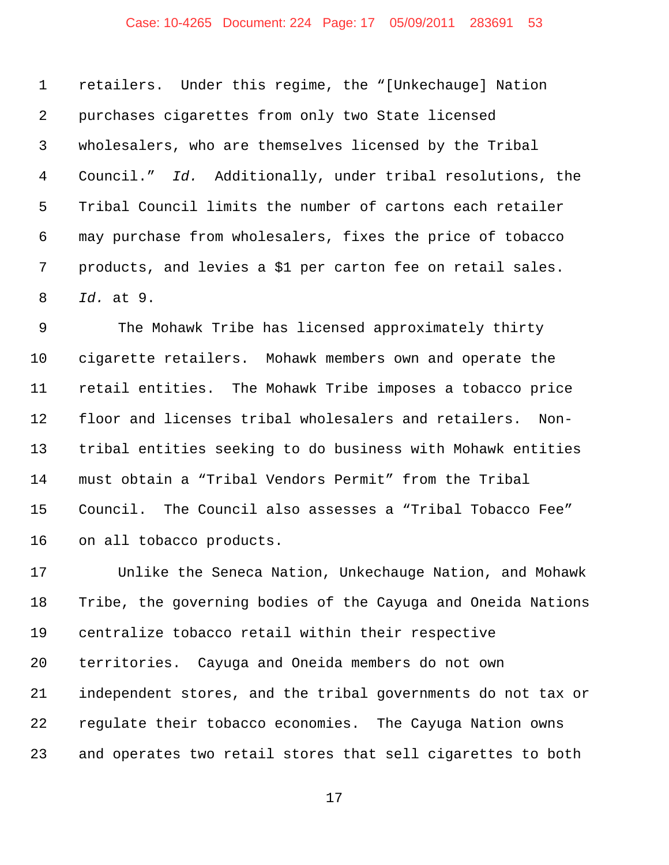## Case: 10-4265 Document: 224 Page: 17 05/09/2011 283691 53

 retailers. Under this regime, the "[Unkechauge] Nation purchases cigarettes from only two State licensed wholesalers, who are themselves licensed by the Tribal Council." *Id.* Additionally, under tribal resolutions, the Tribal Council limits the number of cartons each retailer may purchase from wholesalers, fixes the price of tobacco products, and levies a \$1 per carton fee on retail sales. *Id.* at 9.

 The Mohawk Tribe has licensed approximately thirty cigarette retailers. Mohawk members own and operate the retail entities. The Mohawk Tribe imposes a tobacco price floor and licenses tribal wholesalers and retailers. Non- tribal entities seeking to do business with Mohawk entities must obtain a "Tribal Vendors Permit" from the Tribal Council. The Council also assesses a "Tribal Tobacco Fee" on all tobacco products.

 Unlike the Seneca Nation, Unkechauge Nation, and Mohawk Tribe, the governing bodies of the Cayuga and Oneida Nations centralize tobacco retail within their respective territories. Cayuga and Oneida members do not own independent stores, and the tribal governments do not tax or regulate their tobacco economies. The Cayuga Nation owns and operates two retail stores that sell cigarettes to both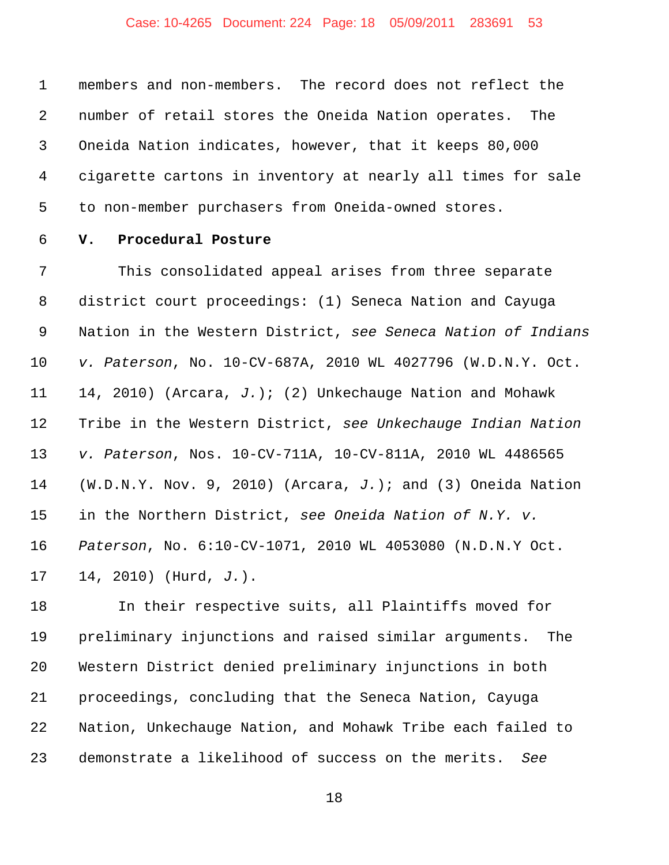## Case: 10-4265 Document: 224 Page: 18 05/09/2011 283691 53

 members and non-members. The record does not reflect the number of retail stores the Oneida Nation operates. The Oneida Nation indicates, however, that it keeps 80,000 cigarette cartons in inventory at nearly all times for sale to non-member purchasers from Oneida-owned stores.

# **V. Procedural Posture**

 This consolidated appeal arises from three separate district court proceedings: (1) Seneca Nation and Cayuga Nation in the Western District, *see Seneca Nation of Indians v. Paterson*, No. 10-CV-687A, 2010 WL 4027796 (W.D.N.Y. Oct. 14, 2010) (Arcara, *J.*); (2) Unkechauge Nation and Mohawk Tribe in the Western District, *see Unkechauge Indian Nation v. Paterson*, Nos. 10-CV-711A, 10-CV-811A, 2010 WL 4486565 (W.D.N.Y. Nov. 9, 2010) (Arcara, *J.*); and (3) Oneida Nation in the Northern District, *see Oneida Nation of N.Y. v. Paterson*, No. 6:10-CV-1071, 2010 WL 4053080 (N.D.N.Y Oct. 14, 2010) (Hurd, *J.*).

 In their respective suits, all Plaintiffs moved for preliminary injunctions and raised similar arguments. The Western District denied preliminary injunctions in both proceedings, concluding that the Seneca Nation, Cayuga Nation, Unkechauge Nation, and Mohawk Tribe each failed to demonstrate a likelihood of success on the merits. *See*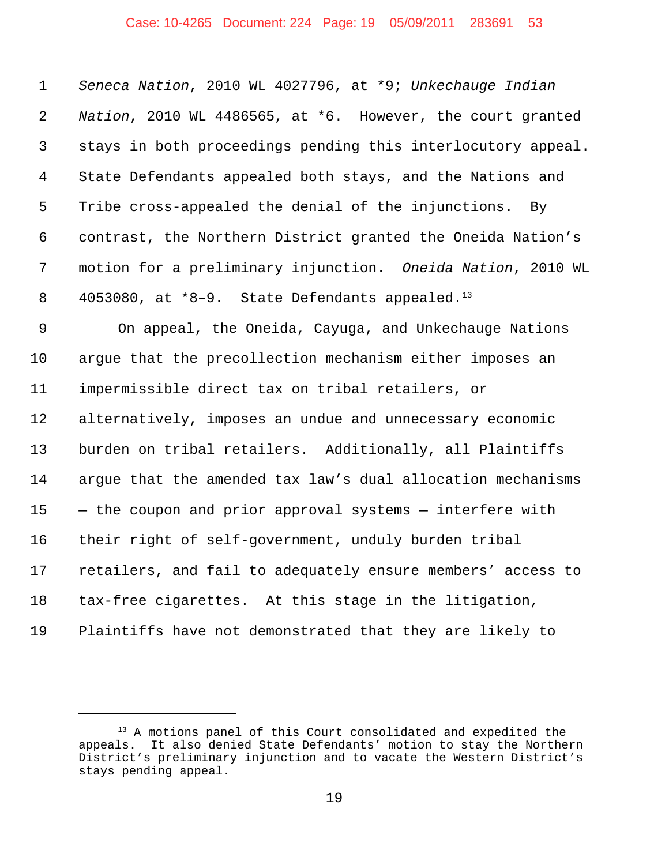## Case: 10-4265 Document: 224 Page: 19 05/09/2011 283691 53

 *Seneca Nation*, 2010 WL 4027796, at \*9; *Unkechauge Indian Nation*, 2010 WL 4486565, at \*6. However, the court granted stays in both proceedings pending this interlocutory appeal. State Defendants appealed both stays, and the Nations and Tribe cross-appealed the denial of the injunctions. By contrast, the Northern District granted the Oneida Nation's motion for a preliminary injunction. *Oneida Nation*, 2010 WL 8 4053080, at  $*8-9$ . State Defendants appealed.<sup>13</sup> On appeal, the Oneida, Cayuga, and Unkechauge Nations argue that the precollection mechanism either imposes an impermissible direct tax on tribal retailers, or alternatively, imposes an undue and unnecessary economic burden on tribal retailers. Additionally, all Plaintiffs argue that the amended tax law's dual allocation mechanisms — the coupon and prior approval systems — interfere with their right of self-government, unduly burden tribal retailers, and fail to adequately ensure members' access to tax-free cigarettes. At this stage in the litigation, Plaintiffs have not demonstrated that they are likely to

<sup>&</sup>lt;sup>13</sup> A motions panel of this Court consolidated and expedited the appeals. It also denied State Defendants' motion to stay the Northern District's preliminary injunction and to vacate the Western District's stays pending appeal.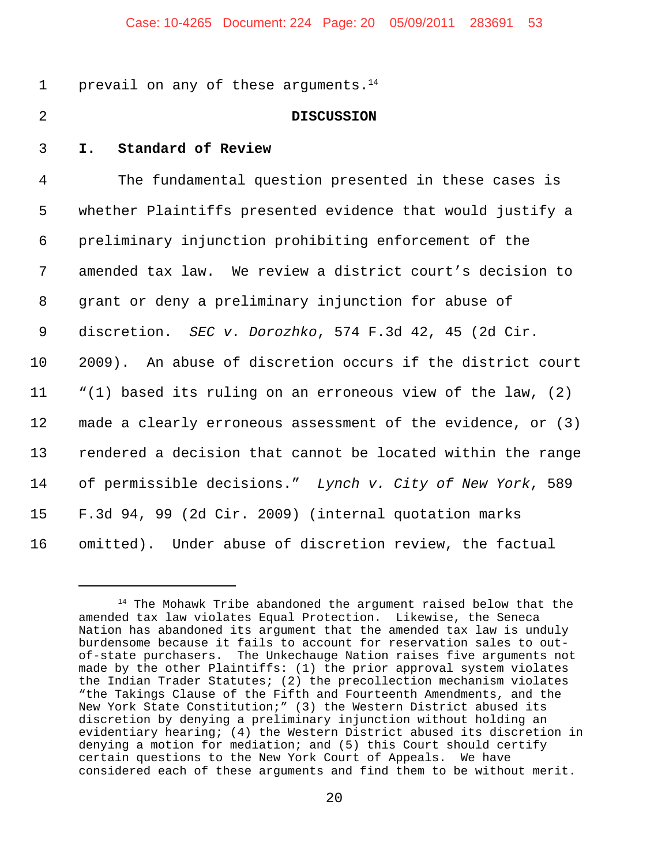1 prevail on any of these arguments. $14$ 

## 2 **DISCUSSION**

3 **I. Standard of Review**

 The fundamental question presented in these cases is whether Plaintiffs presented evidence that would justify a preliminary injunction prohibiting enforcement of the amended tax law. We review a district court's decision to grant or deny a preliminary injunction for abuse of discretion. *SEC v. Dorozhko*, 574 F.3d 42, 45 (2d Cir. 2009). An abuse of discretion occurs if the district court "(1) based its ruling on an erroneous view of the law, (2) made a clearly erroneous assessment of the evidence, or (3) rendered a decision that cannot be located within the range of permissible decisions." *Lynch v. City of New York*, 589 F.3d 94, 99 (2d Cir. 2009) (internal quotation marks omitted). Under abuse of discretion review, the factual

 $14$  The Mohawk Tribe abandoned the argument raised below that the amended tax law violates Equal Protection. Likewise, the Seneca Nation has abandoned its argument that the amended tax law is unduly burdensome because it fails to account for reservation sales to outof-state purchasers. The Unkechauge Nation raises five arguments not made by the other Plaintiffs: (1) the prior approval system violates the Indian Trader Statutes; (2) the precollection mechanism violates "the Takings Clause of the Fifth and Fourteenth Amendments, and the New York State Constitution;" (3) the Western District abused its discretion by denying a preliminary injunction without holding an evidentiary hearing; (4) the Western District abused its discretion in denying a motion for mediation; and (5) this Court should certify certain questions to the New York Court of Appeals. We have considered each of these arguments and find them to be without merit.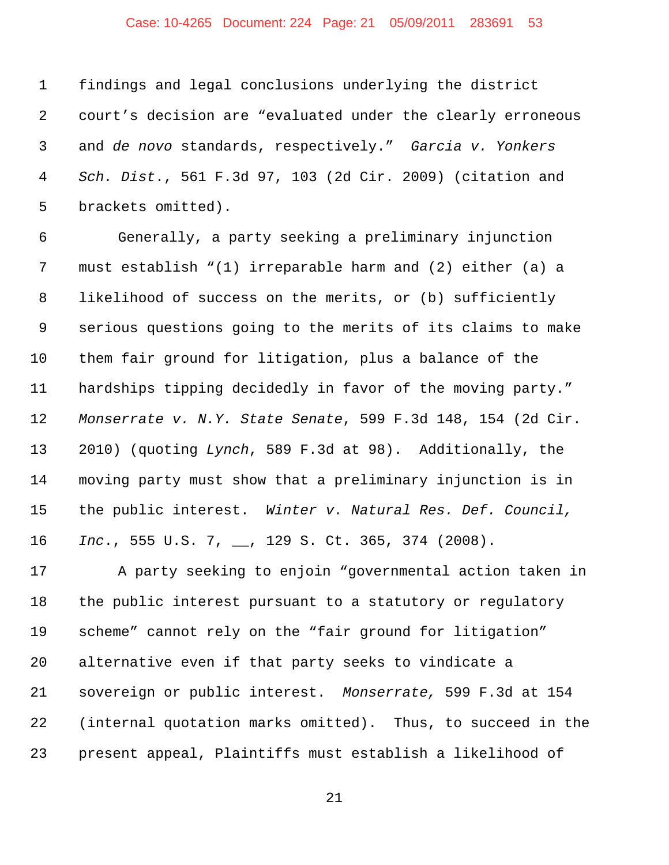## Case: 10-4265 Document: 224 Page: 21 05/09/2011 283691 53

 findings and legal conclusions underlying the district court's decision are "evaluated under the clearly erroneous and *de novo* standards, respectively." *Garcia v. Yonkers Sch. Dist*., 561 F.3d 97, 103 (2d Cir. 2009) (citation and brackets omitted).

 Generally, a party seeking a preliminary injunction must establish "(1) irreparable harm and (2) either (a) a likelihood of success on the merits, or (b) sufficiently serious questions going to the merits of its claims to make them fair ground for litigation, plus a balance of the hardships tipping decidedly in favor of the moving party." *Monserrate v. N.Y. State Senate*, 599 F.3d 148, 154 (2d Cir. 2010) (quoting *Lynch*, 589 F.3d at 98). Additionally, the moving party must show that a preliminary injunction is in the public interest. *Winter v. Natural Res. Def. Council, Inc*., 555 U.S. 7, \_\_, 129 S. Ct. 365, 374 (2008).

 A party seeking to enjoin "governmental action taken in the public interest pursuant to a statutory or regulatory scheme" cannot rely on the "fair ground for litigation" alternative even if that party seeks to vindicate a sovereign or public interest. *Monserrate,* 599 F.3d at 154 (internal quotation marks omitted). Thus, to succeed in the present appeal, Plaintiffs must establish a likelihood of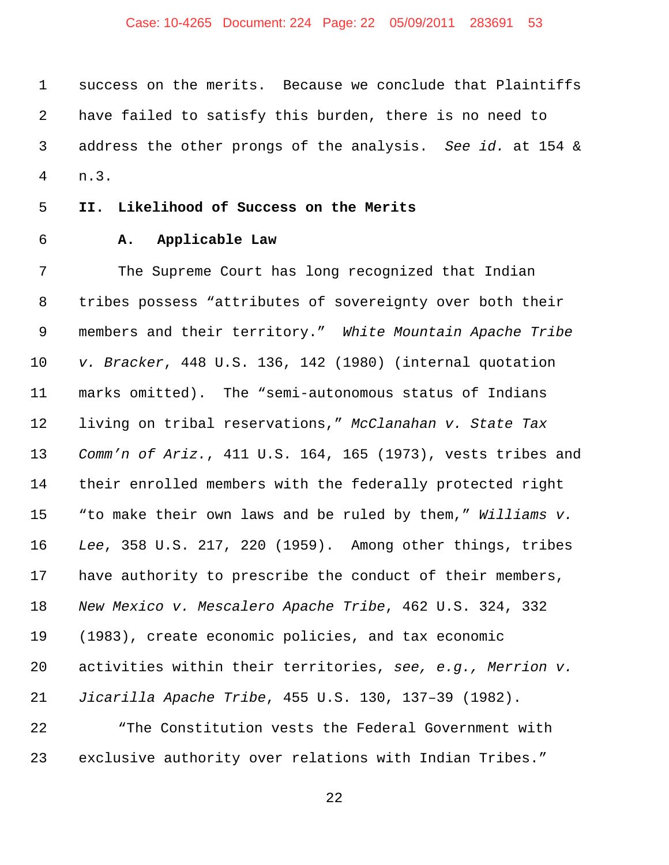## Case: 10-4265 Document: 224 Page: 22 05/09/2011 283691 53

 success on the merits. Because we conclude that Plaintiffs have failed to satisfy this burden, there is no need to address the other prongs of the analysis. *See id.* at 154 & n.3.

## **II. Likelihood of Success on the Merits**

# **A. Applicable Law**

 The Supreme Court has long recognized that Indian tribes possess "attributes of sovereignty over both their members and their territory." *White Mountain Apache Tribe v. Bracker*, 448 U.S. 136, 142 (1980) (internal quotation marks omitted). The "semi-autonomous status of Indians living on tribal reservations," *McClanahan v. State Tax Comm'n of Ariz.*, 411 U.S. 164, 165 (1973), vests tribes and their enrolled members with the federally protected right "to make their own laws and be ruled by them," *Williams v. Lee*, 358 U.S. 217, 220 (1959). Among other things, tribes have authority to prescribe the conduct of their members, *New Mexico v. Mescalero Apache Tribe*, 462 U.S. 324, 332 (1983), create economic policies, and tax economic activities within their territories, *see, e.g., Merrion v. Jicarilla Apache Tribe*, 455 U.S. 130, 137–39 (1982).

 "The Constitution vests the Federal Government with exclusive authority over relations with Indian Tribes."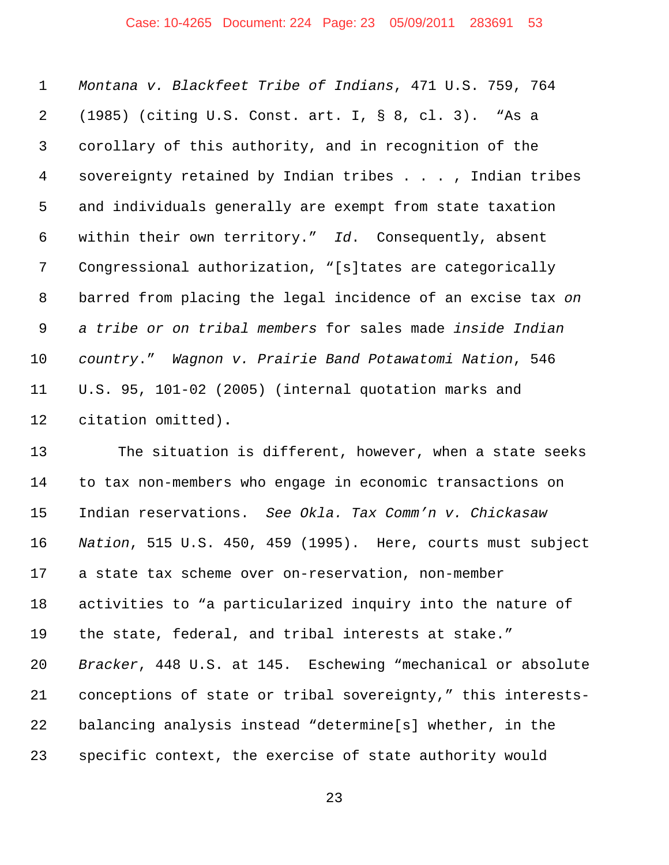## Case: 10-4265 Document: 224 Page: 23 05/09/2011 283691 53

 *Montana v. Blackfeet Tribe of Indians*, 471 U.S. 759, 764 (1985) (citing U.S. Const. art. I, § 8, cl. 3). "As a corollary of this authority, and in recognition of the sovereignty retained by Indian tribes . . . , Indian tribes and individuals generally are exempt from state taxation within their own territory." *Id*. Consequently, absent Congressional authorization, "[s]tates are categorically barred from placing the legal incidence of an excise tax *on a tribe or on tribal members* for sales made *inside Indian country*." *Wagnon v. Prairie Band Potawatomi Nation*, 546 U.S. 95, 101-02 (2005) (internal quotation marks and citation omitted)**.**

 The situation is different, however, when a state seeks to tax non-members who engage in economic transactions on Indian reservations. *See Okla. Tax Comm'n v. Chickasaw Nation*, 515 U.S. 450, 459 (1995). Here, courts must subject a state tax scheme over on-reservation, non-member activities to "a particularized inquiry into the nature of the state, federal, and tribal interests at stake." *Bracker*, 448 U.S. at 145. Eschewing "mechanical or absolute conceptions of state or tribal sovereignty," this interests- balancing analysis instead "determine[s] whether, in the specific context, the exercise of state authority would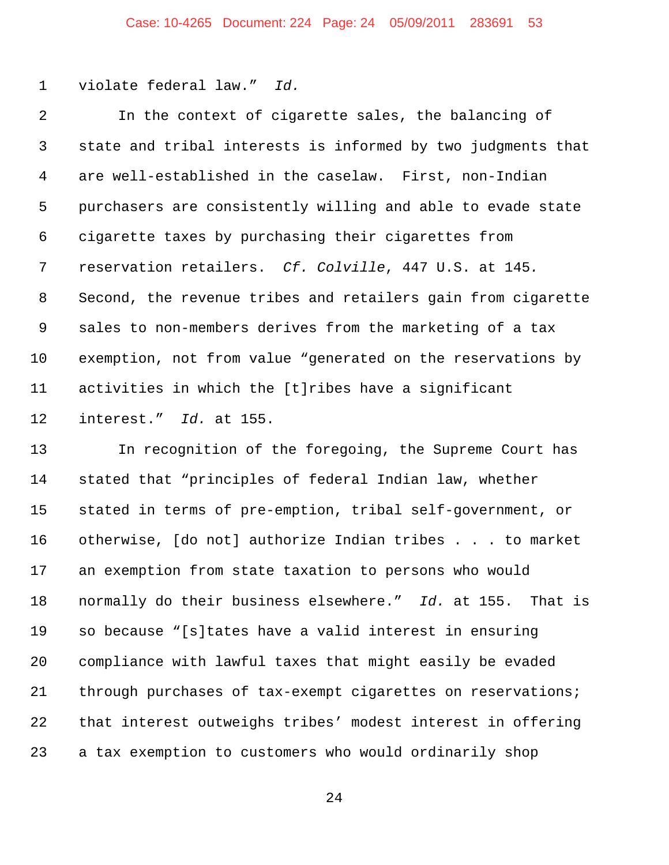violate federal law." *Id.*

 In the context of cigarette sales, the balancing of state and tribal interests is informed by two judgments that are well-established in the caselaw. First, non-Indian purchasers are consistently willing and able to evade state cigarette taxes by purchasing their cigarettes from reservation retailers. *Cf. Colville*, 447 U.S. at 145*.*  Second, the revenue tribes and retailers gain from cigarette sales to non-members derives from the marketing of a tax exemption, not from value "generated on the reservations by activities in which the [t]ribes have a significant interest." *Id.* at 155.

 In recognition of the foregoing, the Supreme Court has stated that "principles of federal Indian law, whether stated in terms of pre-emption, tribal self-government, or otherwise, [do not] authorize Indian tribes . . . to market an exemption from state taxation to persons who would normally do their business elsewhere." *Id.* at 155. That is so because "[s]tates have a valid interest in ensuring compliance with lawful taxes that might easily be evaded through purchases of tax-exempt cigarettes on reservations; that interest outweighs tribes' modest interest in offering a tax exemption to customers who would ordinarily shop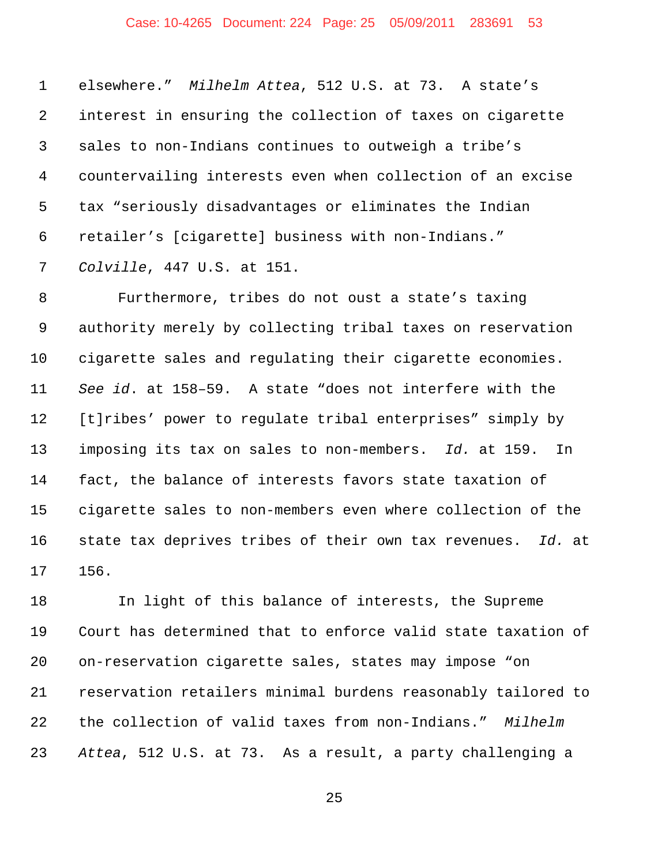## Case: 10-4265 Document: 224 Page: 25 05/09/2011 283691 53

 elsewhere." *Milhelm Attea*, 512 U.S. at 73. A state's interest in ensuring the collection of taxes on cigarette sales to non-Indians continues to outweigh a tribe's countervailing interests even when collection of an excise tax "seriously disadvantages or eliminates the Indian retailer's [cigarette] business with non-Indians." *Colville*, 447 U.S. at 151.

 Furthermore, tribes do not oust a state's taxing authority merely by collecting tribal taxes on reservation cigarette sales and regulating their cigarette economies. *See id*. at 158–59. A state "does not interfere with the [t]ribes' power to regulate tribal enterprises" simply by imposing its tax on sales to non-members. *Id.* at 159. In fact, the balance of interests favors state taxation of cigarette sales to non-members even where collection of the state tax deprives tribes of their own tax revenues. *Id.* at 156.

 In light of this balance of interests, the Supreme Court has determined that to enforce valid state taxation of on-reservation cigarette sales, states may impose "on reservation retailers minimal burdens reasonably tailored to the collection of valid taxes from non-Indians." *Milhelm Attea*, 512 U.S. at 73. As a result, a party challenging a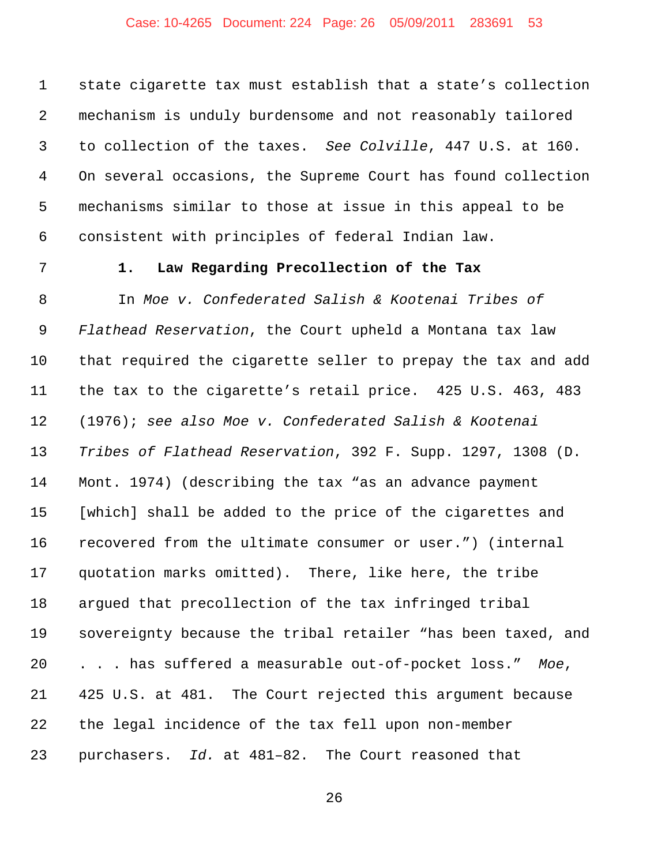## Case: 10-4265 Document: 224 Page: 26 05/09/2011 283691 53

 state cigarette tax must establish that a state's collection mechanism is unduly burdensome and not reasonably tailored to collection of the taxes. *See Colville*, 447 U.S. at 160. On several occasions, the Supreme Court has found collection mechanisms similar to those at issue in this appeal to be consistent with principles of federal Indian law.

## **1. Law Regarding Precollection of the Tax**

 In *Moe v. Confederated Salish & Kootenai Tribes of Flathead Reservation*, the Court upheld a Montana tax law that required the cigarette seller to prepay the tax and add the tax to the cigarette's retail price. 425 U.S. 463, 483 (1976); *see also Moe v. Confederated Salish & Kootenai Tribes of Flathead Reservation*, 392 F. Supp. 1297, 1308 (D. Mont. 1974) (describing the tax "as an advance payment [which] shall be added to the price of the cigarettes and recovered from the ultimate consumer or user.") (internal quotation marks omitted). There, like here, the tribe argued that precollection of the tax infringed tribal sovereignty because the tribal retailer "has been taxed, and . . . has suffered a measurable out-of-pocket loss." *Moe*, 425 U.S. at 481. The Court rejected this argument because the legal incidence of the tax fell upon non-member purchasers. *Id.* at 481–82. The Court reasoned that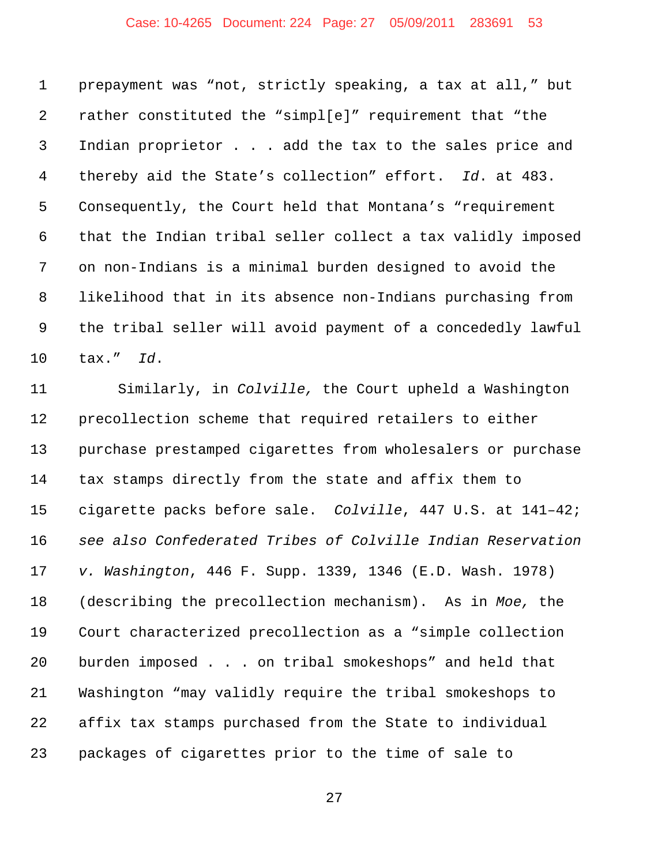## Case: 10-4265 Document: 224 Page: 27 05/09/2011 283691 53

 prepayment was "not, strictly speaking, a tax at all," but rather constituted the "simpl[e]" requirement that "the Indian proprietor . . . add the tax to the sales price and thereby aid the State's collection" effort. *Id*. at 483. Consequently, the Court held that Montana's "requirement that the Indian tribal seller collect a tax validly imposed on non-Indians is a minimal burden designed to avoid the likelihood that in its absence non-Indians purchasing from the tribal seller will avoid payment of a concededly lawful tax." *Id*.

 Similarly, in *Colville,* the Court upheld a Washington precollection scheme that required retailers to either purchase prestamped cigarettes from wholesalers or purchase tax stamps directly from the state and affix them to cigarette packs before sale. *Colville*, 447 U.S. at 141–42; *see also Confederated Tribes of Colville Indian Reservation v. Washington*, 446 F. Supp. 1339, 1346 (E.D. Wash. 1978) (describing the precollection mechanism). As in *Moe,* the Court characterized precollection as a "simple collection burden imposed . . . on tribal smokeshops" and held that Washington "may validly require the tribal smokeshops to affix tax stamps purchased from the State to individual packages of cigarettes prior to the time of sale to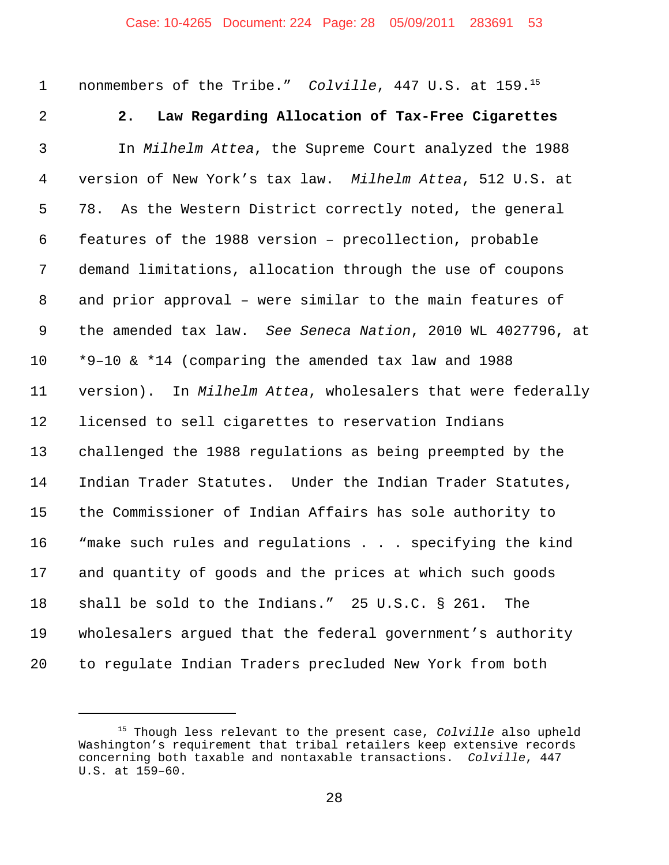1 nonmembers of the Tribe." *Colville*, 447 U.S. at 159.<sup>15</sup>

## **2. Law Regarding Allocation of Tax-Free Cigarettes**

 In *Milhelm Attea*, the Supreme Court analyzed the 1988 version of New York's tax law. *Milhelm Attea*, 512 U.S. at 78. As the Western District correctly noted, the general features of the 1988 version – precollection, probable demand limitations, allocation through the use of coupons and prior approval – were similar to the main features of the amended tax law. *See Seneca Nation*, 2010 WL 4027796, at \*9–10 & \*14 (comparing the amended tax law and 1988 version). In *Milhelm Attea*, wholesalers that were federally licensed to sell cigarettes to reservation Indians challenged the 1988 regulations as being preempted by the Indian Trader Statutes. Under the Indian Trader Statutes, the Commissioner of Indian Affairs has sole authority to "make such rules and regulations . . . specifying the kind and quantity of goods and the prices at which such goods shall be sold to the Indians." 25 U.S.C. § 261. The wholesalers argued that the federal government's authority to regulate Indian Traders precluded New York from both

<sup>15</sup> Though less relevant to the present case, *Colville* also upheld Washington's requirement that tribal retailers keep extensive records concerning both taxable and nontaxable transactions. *Colville*, 447 U.S. at 159–60.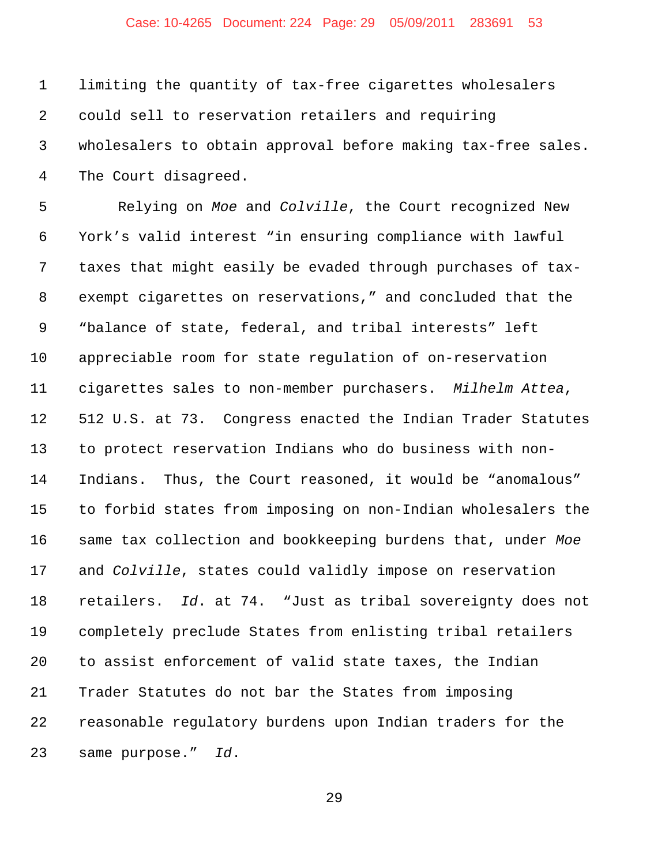## Case: 10-4265 Document: 224 Page: 29 05/09/2011 283691 53

 limiting the quantity of tax-free cigarettes wholesalers could sell to reservation retailers and requiring wholesalers to obtain approval before making tax-free sales. The Court disagreed.

 Relying on *Moe* and *Colville*, the Court recognized New York's valid interest "in ensuring compliance with lawful taxes that might easily be evaded through purchases of tax- exempt cigarettes on reservations," and concluded that the "balance of state, federal, and tribal interests" left appreciable room for state regulation of on-reservation cigarettes sales to non-member purchasers. *Milhelm Attea*, 512 U.S. at 73. Congress enacted the Indian Trader Statutes to protect reservation Indians who do business with non- Indians. Thus, the Court reasoned, it would be "anomalous" to forbid states from imposing on non-Indian wholesalers the same tax collection and bookkeeping burdens that, under *Moe* and *Colville*, states could validly impose on reservation retailers. *Id*. at 74."Just as tribal sovereignty does not completely preclude States from enlisting tribal retailers to assist enforcement of valid state taxes, the Indian Trader Statutes do not bar the States from imposing reasonable regulatory burdens upon Indian traders for the same purpose." *Id*.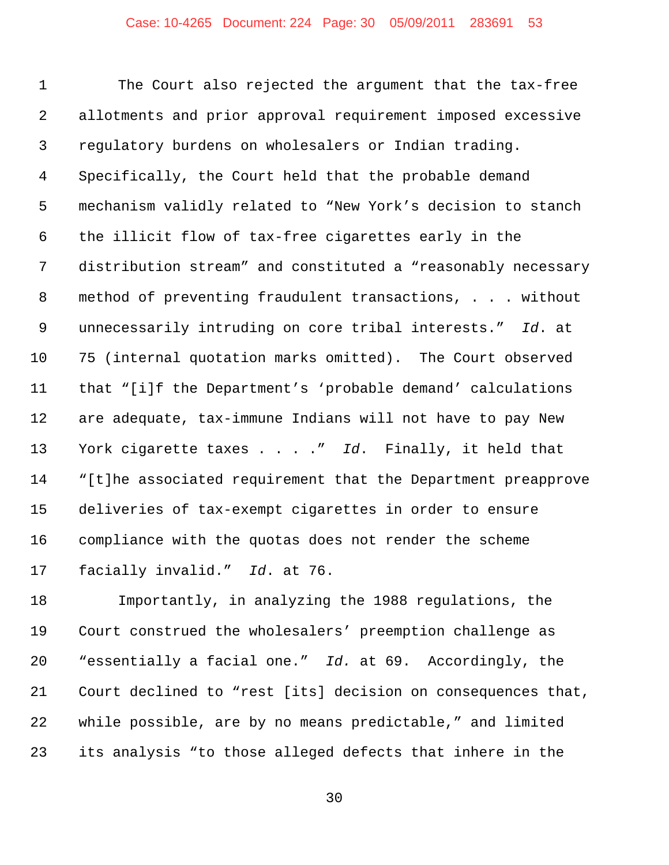The Court also rejected the argument that the tax-free allotments and prior approval requirement imposed excessive regulatory burdens on wholesalers or Indian trading. Specifically, the Court held that the probable demand mechanism validly related to "New York's decision to stanch the illicit flow of tax-free cigarettes early in the distribution stream" and constituted a "reasonably necessary method of preventing fraudulent transactions, . . . without unnecessarily intruding on core tribal interests." *Id*. at 75 (internal quotation marks omitted). The Court observed that "[i]f the Department's 'probable demand' calculations are adequate, tax-immune Indians will not have to pay New York cigarette taxes . . . ." *Id*. Finally, it held that "[t]he associated requirement that the Department preapprove deliveries of tax-exempt cigarettes in order to ensure compliance with the quotas does not render the scheme facially invalid." *Id*. at 76.

 Importantly, in analyzing the 1988 regulations, the Court construed the wholesalers' preemption challenge as "essentially a facial one." *Id.* at 69. Accordingly, the Court declined to "rest [its] decision on consequences that, while possible, are by no means predictable," and limited its analysis "to those alleged defects that inhere in the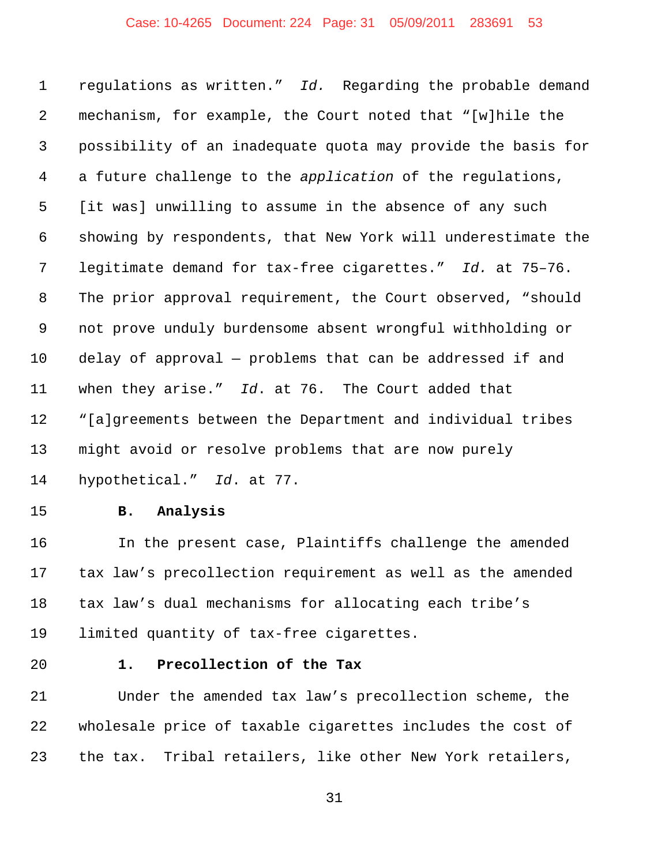## Case: 10-4265 Document: 224 Page: 31 05/09/2011 283691 53

 regulations as written." *Id.* Regarding the probable demand mechanism, for example, the Court noted that "[w]hile the possibility of an inadequate quota may provide the basis for a future challenge to the *application* of the regulations, [it was] unwilling to assume in the absence of any such showing by respondents, that New York will underestimate the legitimate demand for tax-free cigarettes." *Id.* at 75–76. The prior approval requirement, the Court observed, "should not prove unduly burdensome absent wrongful withholding or delay of approval — problems that can be addressed if and when they arise." *Id*. at 76. The Court added that "[a]greements between the Department and individual tribes might avoid or resolve problems that are now purely hypothetical." *Id*. at 77.

#### **B. Analysis**

 In the present case, Plaintiffs challenge the amended tax law's precollection requirement as well as the amended tax law's dual mechanisms for allocating each tribe's limited quantity of tax-free cigarettes.

#### **1. Precollection of the Tax**

 Under the amended tax law's precollection scheme, the wholesale price of taxable cigarettes includes the cost of the tax. Tribal retailers, like other New York retailers,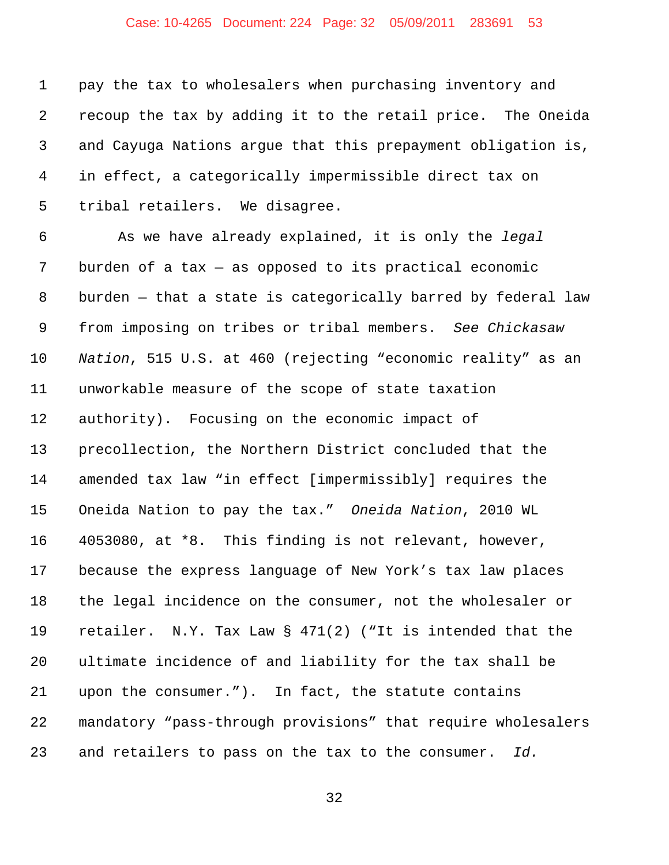## Case: 10-4265 Document: 224 Page: 32 05/09/2011 283691 53

 pay the tax to wholesalers when purchasing inventory and recoup the tax by adding it to the retail price. The Oneida and Cayuga Nations argue that this prepayment obligation is, in effect, a categorically impermissible direct tax on tribal retailers. We disagree.

 As we have already explained, it is only the *legal* burden of a tax — as opposed to its practical economic burden — that a state is categorically barred by federal law from imposing on tribes or tribal members. *See Chickasaw Nation*, 515 U.S. at 460 (rejecting "economic reality" as an unworkable measure of the scope of state taxation authority). Focusing on the economic impact of precollection, the Northern District concluded that the amended tax law "in effect [impermissibly] requires the Oneida Nation to pay the tax." *Oneida Nation*, 2010 WL 4053080, at \*8. This finding is not relevant, however, because the express language of New York's tax law places the legal incidence on the consumer, not the wholesaler or retailer. N.Y. Tax Law § 471(2) ("It is intended that the ultimate incidence of and liability for the tax shall be upon the consumer."). In fact, the statute contains mandatory "pass-through provisions" that require wholesalers and retailers to pass on the tax to the consumer. *Id.*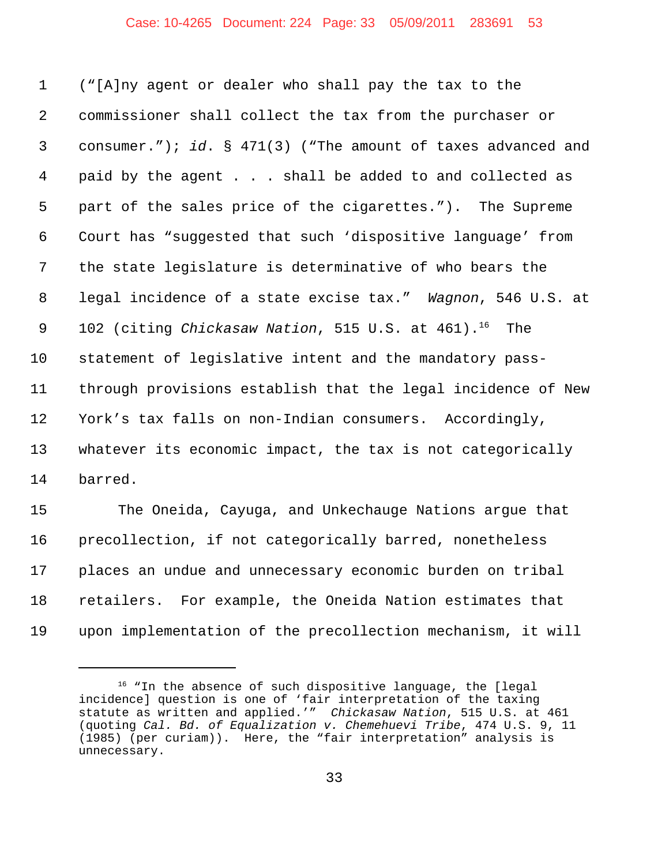#### Case: 10-4265 Document: 224 Page: 33 05/09/2011 283691 53

 ("[A]ny agent or dealer who shall pay the tax to the commissioner shall collect the tax from the purchaser or consumer."); *id*. § 471(3) ("The amount of taxes advanced and paid by the agent . . . shall be added to and collected as part of the sales price of the cigarettes."). The Supreme Court has "suggested that such 'dispositive language' from the state legislature is determinative of who bears the legal incidence of a state excise tax." *Wagnon*, 546 U.S. at 9 102 (citing *Chickasaw Nation*, 515 U.S. at 461).<sup>16</sup> The statement of legislative intent and the mandatory pass- through provisions establish that the legal incidence of New York's tax falls on non-Indian consumers. Accordingly, whatever its economic impact, the tax is not categorically barred.

 The Oneida, Cayuga, and Unkechauge Nations argue that precollection, if not categorically barred, nonetheless places an undue and unnecessary economic burden on tribal retailers. For example, the Oneida Nation estimates that upon implementation of the precollection mechanism, it will

<sup>&</sup>lt;sup>16</sup> "In the absence of such dispositive language, the [legal incidence] question is one of 'fair interpretation of the taxing statute as written and applied.'" *Chickasaw Nation*, 515 U.S. at 461 (quoting *Cal. Bd. of Equalization v. Chemehuevi Tribe*, 474 U.S. 9, 11 (1985) (per curiam)). Here, the "fair interpretation" analysis is unnecessary.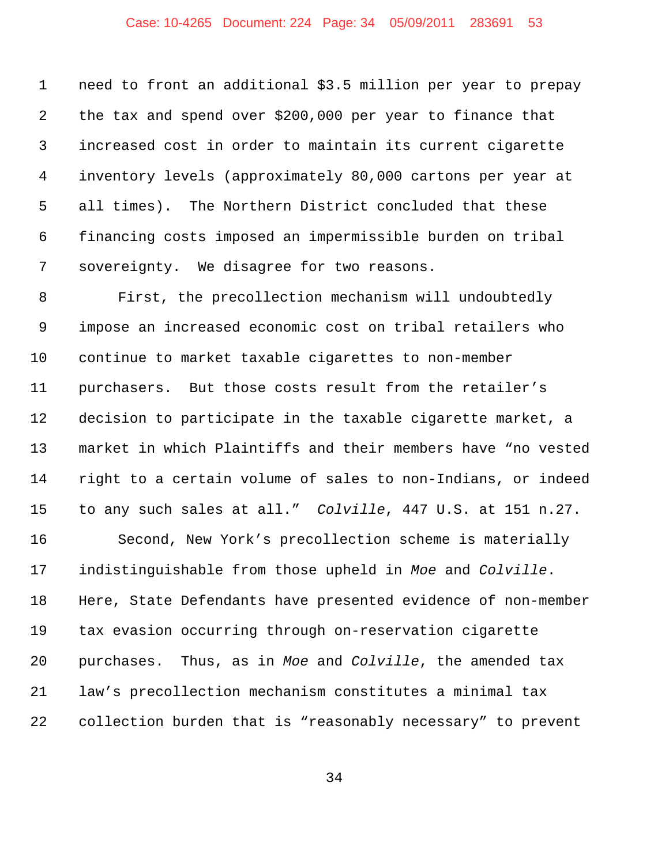## Case: 10-4265 Document: 224 Page: 34 05/09/2011 283691 53

 need to front an additional \$3.5 million per year to prepay the tax and spend over \$200,000 per year to finance that increased cost in order to maintain its current cigarette inventory levels (approximately 80,000 cartons per year at all times). The Northern District concluded that these financing costs imposed an impermissible burden on tribal sovereignty. We disagree for two reasons.

 First, the precollection mechanism will undoubtedly impose an increased economic cost on tribal retailers who continue to market taxable cigarettes to non-member purchasers. But those costs result from the retailer's decision to participate in the taxable cigarette market, a market in which Plaintiffs and their members have "no vested right to a certain volume of sales to non-Indians, or indeed to any such sales at all." *Colville*, 447 U.S. at 151 n.27.

 Second, New York's precollection scheme is materially indistinguishable from those upheld in *Moe* and *Colville*. Here, State Defendants have presented evidence of non-member tax evasion occurring through on-reservation cigarette purchases. Thus, as in *Moe* and *Colville*, the amended tax law's precollection mechanism constitutes a minimal tax collection burden that is "reasonably necessary" to prevent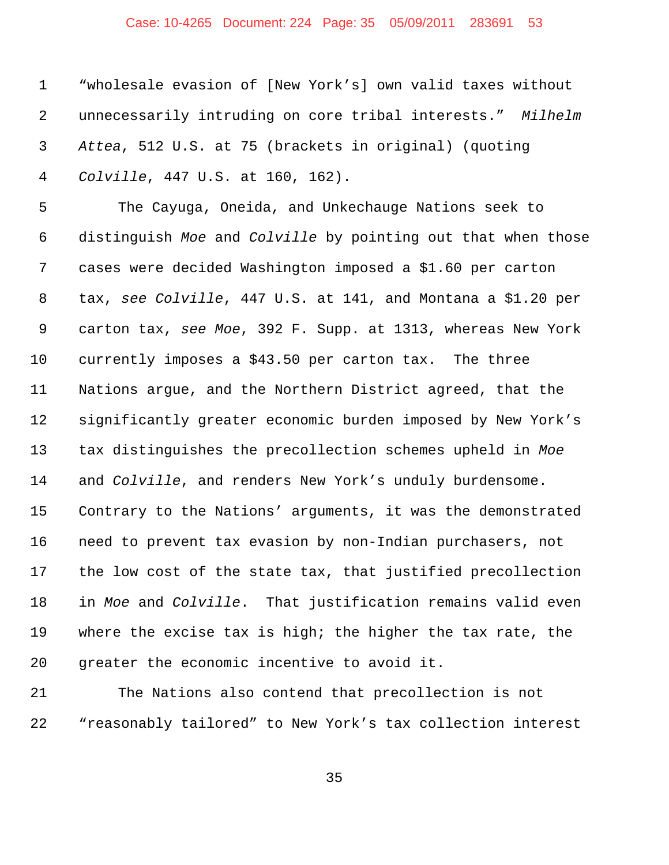## Case: 10-4265 Document: 224 Page: 35 05/09/2011 283691 53

 "wholesale evasion of [New York's] own valid taxes without unnecessarily intruding on core tribal interests." *Milhelm Attea*, 512 U.S. at 75 (brackets in original) (quoting *Colville*, 447 U.S. at 160, 162).

 The Cayuga, Oneida, and Unkechauge Nations seek to distinguish *Moe* and *Colville* by pointing out that when those cases were decided Washington imposed a \$1.60 per carton tax, *see Colville*, 447 U.S. at 141, and Montana a \$1.20 per carton tax, *see Moe*, 392 F. Supp. at 1313, whereas New York currently imposes a \$43.50 per carton tax. The three Nations argue, and the Northern District agreed, that the significantly greater economic burden imposed by New York's tax distinguishes the precollection schemes upheld in *Moe* and *Colville*, and renders New York's unduly burdensome. Contrary to the Nations' arguments, it was the demonstrated need to prevent tax evasion by non-Indian purchasers, not the low cost of the state tax, that justified precollection in *Moe* and *Colville*. That justification remains valid even where the excise tax is high; the higher the tax rate, the greater the economic incentive to avoid it.

 The Nations also contend that precollection is not "reasonably tailored" to New York's tax collection interest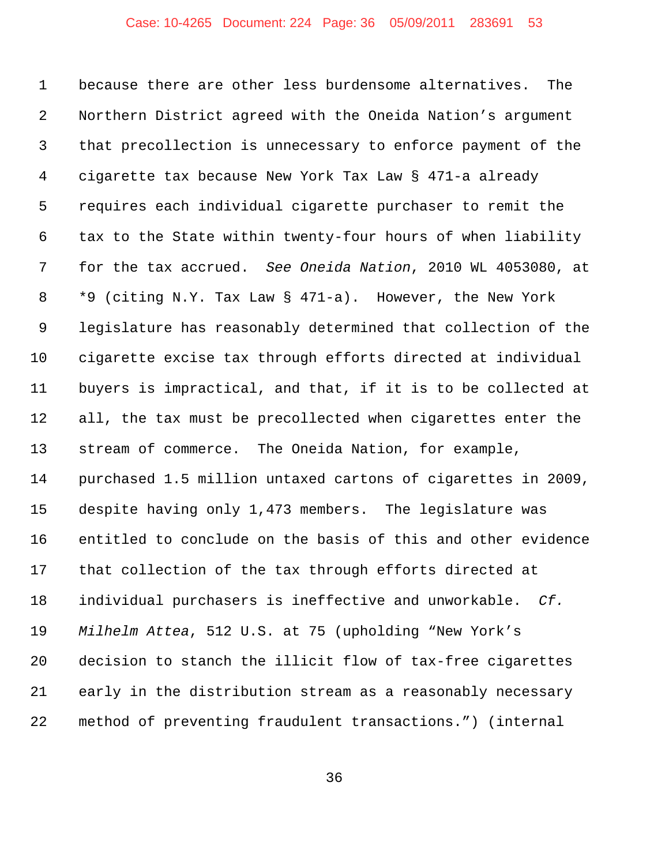## Case: 10-4265 Document: 224 Page: 36 05/09/2011 283691 53

 because there are other less burdensome alternatives. The Northern District agreed with the Oneida Nation's argument that precollection is unnecessary to enforce payment of the cigarette tax because New York Tax Law § 471-a already requires each individual cigarette purchaser to remit the tax to the State within twenty-four hours of when liability for the tax accrued. *See Oneida Nation*, 2010 WL 4053080, at \*9 (citing N.Y. Tax Law § 471-a). However, the New York legislature has reasonably determined that collection of the cigarette excise tax through efforts directed at individual buyers is impractical, and that, if it is to be collected at all, the tax must be precollected when cigarettes enter the stream of commerce. The Oneida Nation, for example, purchased 1.5 million untaxed cartons of cigarettes in 2009, despite having only 1,473 members. The legislature was entitled to conclude on the basis of this and other evidence that collection of the tax through efforts directed at individual purchasers is ineffective and unworkable. *Cf. Milhelm Attea*, 512 U.S. at 75 (upholding "New York's decision to stanch the illicit flow of tax-free cigarettes early in the distribution stream as a reasonably necessary method of preventing fraudulent transactions.") (internal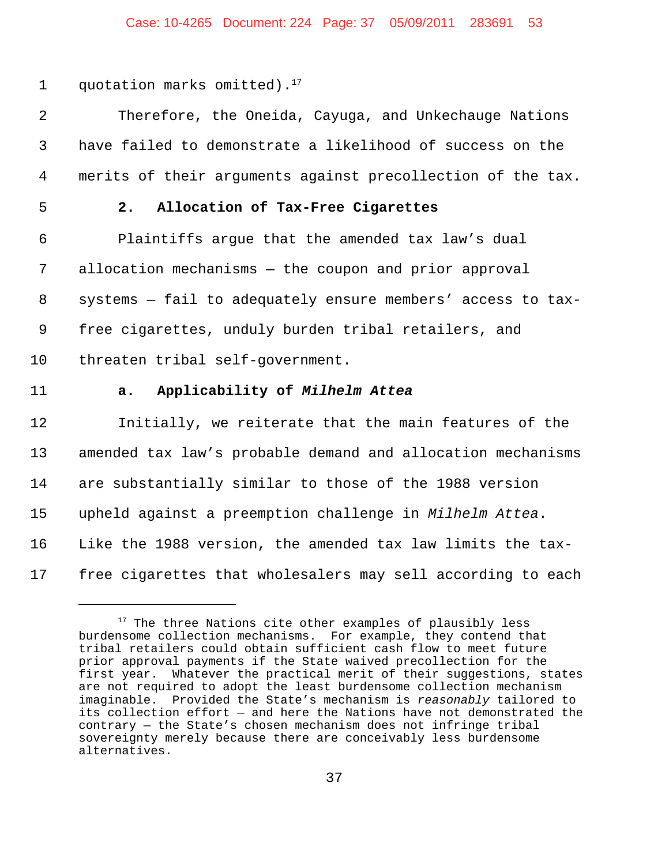#### Case: 10-4265 Document: 224 Page: 37 05/09/2011 283691 53

1 quotation marks omitted).

 Therefore, the Oneida, Cayuga, and Unkechauge Nations have failed to demonstrate a likelihood of success on the merits of their arguments against precollection of the tax.

# **2. Allocation of Tax-Free Cigarettes**

 Plaintiffs argue that the amended tax law's dual allocation mechanisms — the coupon and prior approval systems — fail to adequately ensure members' access to tax- free cigarettes, unduly burden tribal retailers, and threaten tribal self-government.

## **a. Applicability of** *Milhelm Attea*

 Initially, we reiterate that the main features of the amended tax law's probable demand and allocation mechanisms are substantially similar to those of the 1988 version upheld against a preemption challenge in *Milhelm Attea*. Like the 1988 version, the amended tax law limits the tax-free cigarettes that wholesalers may sell according to each

 The three Nations cite other examples of plausibly less burdensome collection mechanisms. For example, they contend that tribal retailers could obtain sufficient cash flow to meet future prior approval payments if the State waived precollection for the first year. Whatever the practical merit of their suggestions, states are not required to adopt the least burdensome collection mechanism imaginable. Provided the State's mechanism is *reasonably* tailored to its collection effort — and here the Nations have not demonstrated the contrary — the State's chosen mechanism does not infringe tribal sovereignty merely because there are conceivably less burdensome alternatives.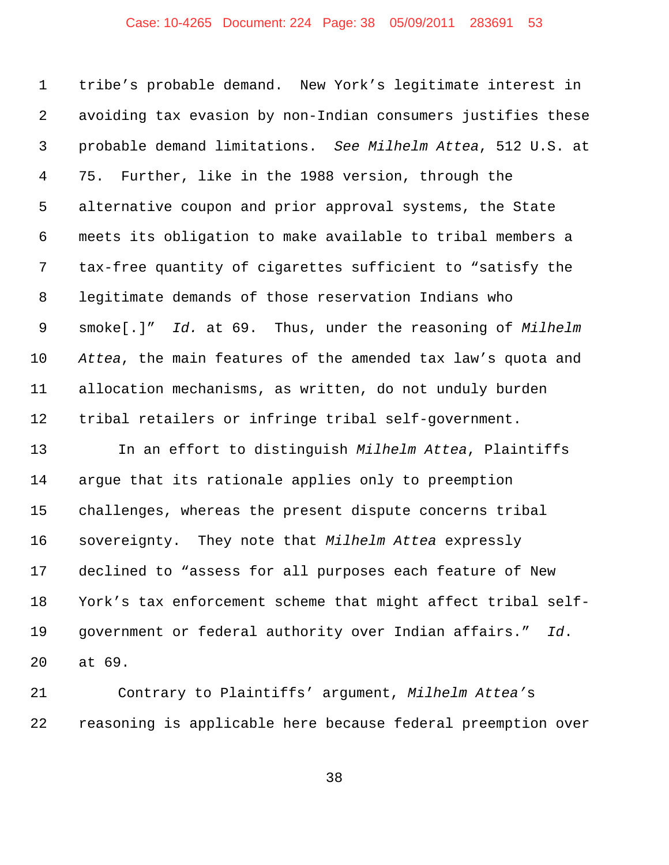## Case: 10-4265 Document: 224 Page: 38 05/09/2011 283691 53

 tribe's probable demand. New York's legitimate interest in avoiding tax evasion by non-Indian consumers justifies these probable demand limitations. *See Milhelm Attea*, 512 U.S. at 75. Further, like in the 1988 version, through the alternative coupon and prior approval systems, the State meets its obligation to make available to tribal members a tax-free quantity of cigarettes sufficient to "satisfy the legitimate demands of those reservation Indians who smoke[.]" *Id.* at 69. Thus, under the reasoning of *Milhelm Attea*, the main features of the amended tax law's quota and allocation mechanisms, as written, do not unduly burden tribal retailers or infringe tribal self-government.

 In an effort to distinguish *Milhelm Attea*, Plaintiffs argue that its rationale applies only to preemption challenges, whereas the present dispute concerns tribal sovereignty. They note that *Milhelm Attea* expressly declined to "assess for all purposes each feature of New York's tax enforcement scheme that might affect tribal self- government or federal authority over Indian affairs." *Id*. at 69.

 Contrary to Plaintiffs' argument, *Milhelm Attea'*s reasoning is applicable here because federal preemption over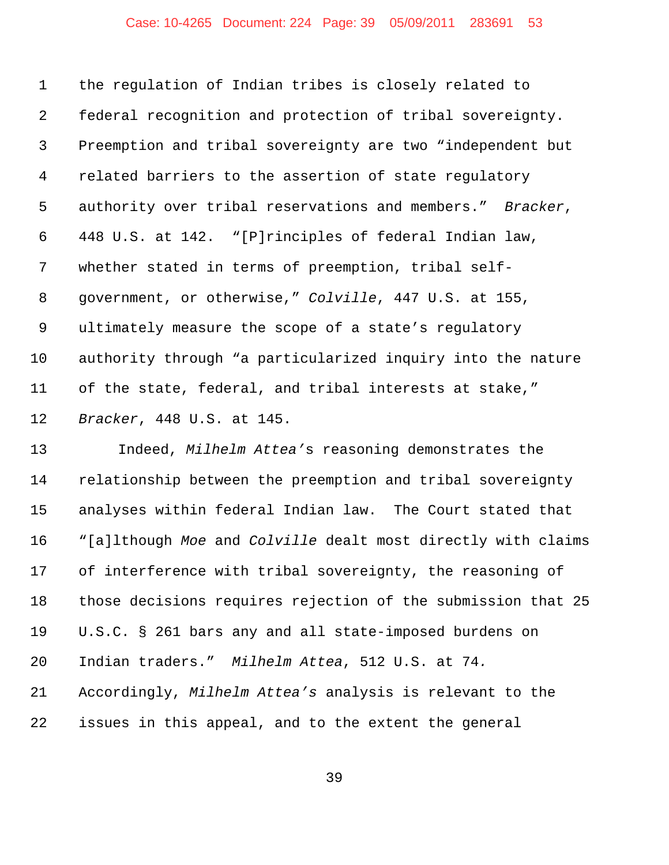## Case: 10-4265 Document: 224 Page: 39 05/09/2011 283691 53

 the regulation of Indian tribes is closely related to federal recognition and protection of tribal sovereignty. Preemption and tribal sovereignty are two "independent but related barriers to the assertion of state regulatory authority over tribal reservations and members." *Bracker*, 448 U.S. at 142. "[P]rinciples of federal Indian law, whether stated in terms of preemption, tribal self- government, or otherwise," *Colville*, 447 U.S. at 155, ultimately measure the scope of a state's regulatory authority through "a particularized inquiry into the nature of the state, federal, and tribal interests at stake," *Bracker*, 448 U.S. at 145.

 Indeed, *Milhelm Attea'*s reasoning demonstrates the relationship between the preemption and tribal sovereignty analyses within federal Indian law. The Court stated that "[a]lthough *Moe* and *Colville* dealt most directly with claims of interference with tribal sovereignty, the reasoning of those decisions requires rejection of the submission that 25 U.S.C. § 261 bars any and all state-imposed burdens on Indian traders." *Milhelm Attea*, 512 U.S. at 74*.* Accordingly, *Milhelm Attea's* analysis is relevant to the issues in this appeal, and to the extent the general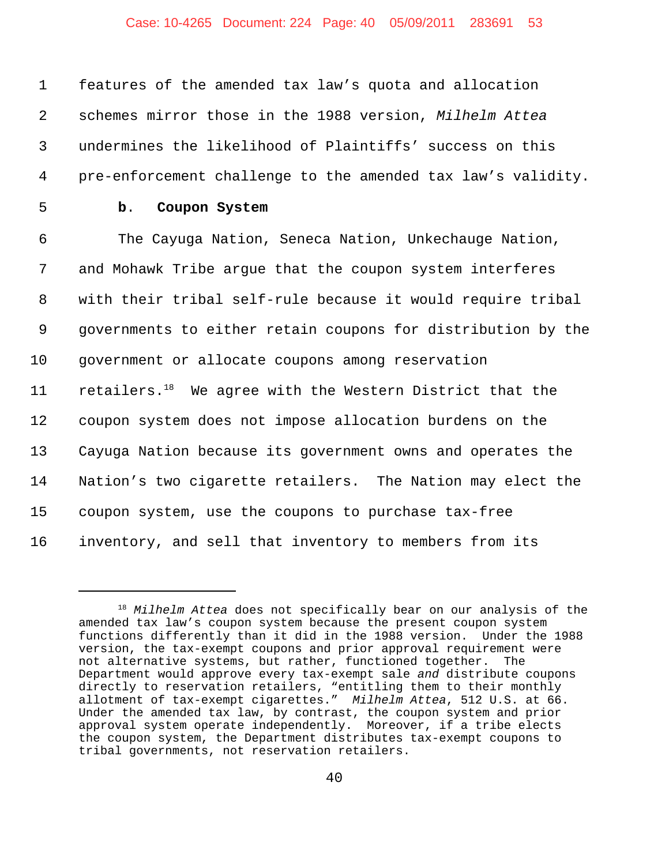# Case: 10-4265 Document: 224 Page: 40 05/09/2011 283691 53

 features of the amended tax law's quota and allocation schemes mirror those in the 1988 version, *Milhelm Attea* undermines the likelihood of Plaintiffs' success on this pre-enforcement challenge to the amended tax law's validity. **b**. **Coupon System** The Cayuga Nation, Seneca Nation, Unkechauge Nation, and Mohawk Tribe argue that the coupon system interferes with their tribal self-rule because it would require tribal governments to either retain coupons for distribution by the government or allocate coupons among reservation  $-$  retailers.<sup>18</sup> We agree with the Western District that the coupon system does not impose allocation burdens on the Cayuga Nation because its government owns and operates the Nation's two cigarette retailers. The Nation may elect the coupon system, use the coupons to purchase tax-free inventory, and sell that inventory to members from its

<sup>18</sup> *Milhelm Attea* does not specifically bear on our analysis of the amended tax law's coupon system because the present coupon system functions differently than it did in the 1988 version. Under the 1988 version, the tax-exempt coupons and prior approval requirement were not alternative systems, but rather, functioned together. The Department would approve every tax-exempt sale *and* distribute coupons directly to reservation retailers, "entitling them to their monthly allotment of tax-exempt cigarettes." *Milhelm Attea*, 512 U.S. at 66. Under the amended tax law, by contrast, the coupon system and prior approval system operate independently. Moreover, if a tribe elects the coupon system, the Department distributes tax-exempt coupons to tribal governments, not reservation retailers.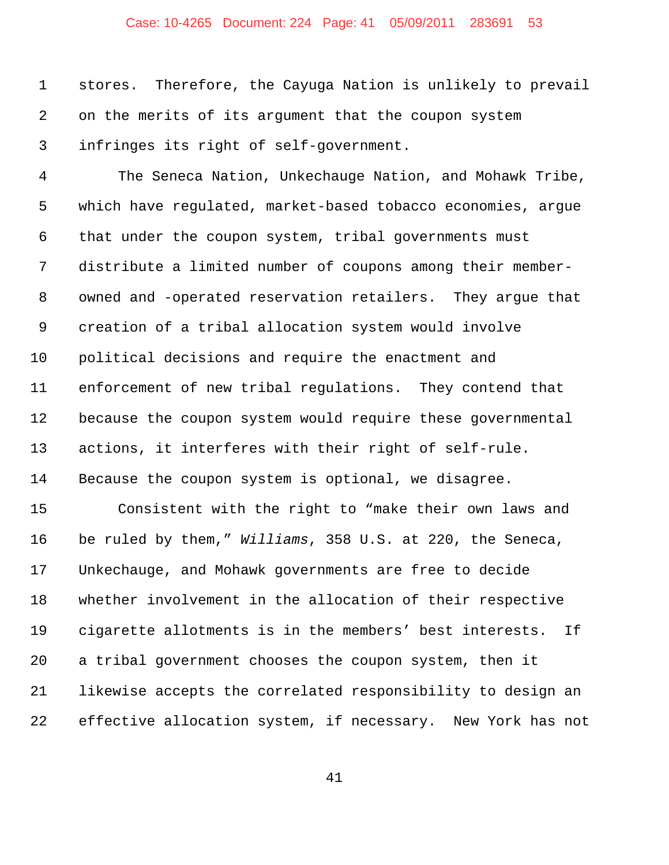## Case: 10-4265 Document: 224 Page: 41 05/09/2011 283691 53

 stores. Therefore, the Cayuga Nation is unlikely to prevail on the merits of its argument that the coupon system infringes its right of self-government.

 The Seneca Nation, Unkechauge Nation, and Mohawk Tribe, which have regulated, market-based tobacco economies, argue that under the coupon system, tribal governments must distribute a limited number of coupons among their member- owned and -operated reservation retailers. They argue that creation of a tribal allocation system would involve political decisions and require the enactment and enforcement of new tribal regulations. They contend that because the coupon system would require these governmental actions, it interferes with their right of self-rule. Because the coupon system is optional, we disagree.

 Consistent with the right to "make their own laws and be ruled by them," *Williams*, 358 U.S. at 220, the Seneca, Unkechauge, and Mohawk governments are free to decide whether involvement in the allocation of their respective cigarette allotments is in the members' best interests. If a tribal government chooses the coupon system, then it likewise accepts the correlated responsibility to design an effective allocation system, if necessary. New York has not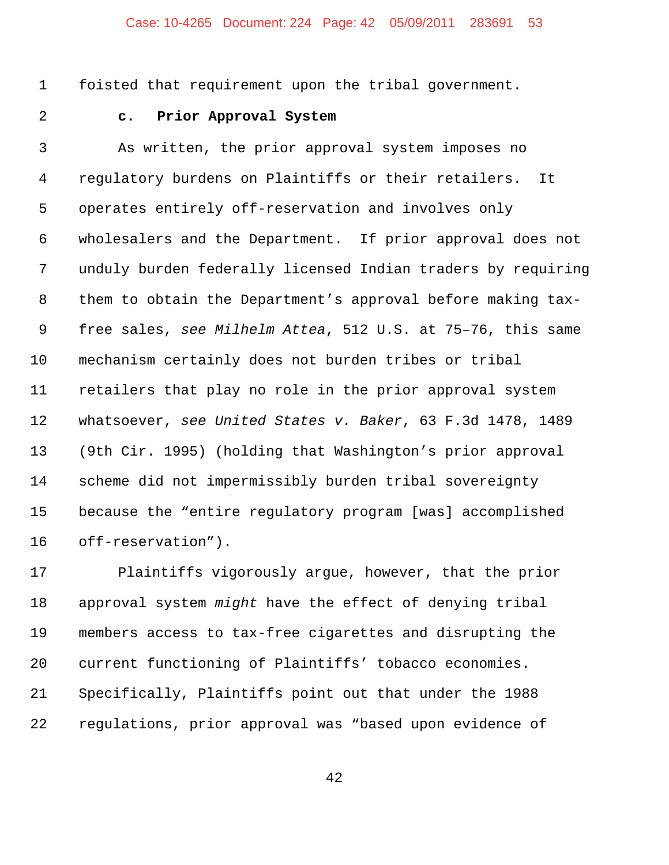## Case: 10-4265 Document: 224 Page: 42 05/09/2011 283691 53

foisted that requirement upon the tribal government.

# **c. Prior Approval System**

 As written, the prior approval system imposes no regulatory burdens on Plaintiffs or their retailers. It operates entirely off-reservation and involves only wholesalers and the Department. If prior approval does not unduly burden federally licensed Indian traders by requiring them to obtain the Department's approval before making tax- free sales, *see Milhelm Attea*, 512 U.S. at 75–76, this same mechanism certainly does not burden tribes or tribal retailers that play no role in the prior approval system whatsoever, *see United States v. Baker*, 63 F.3d 1478, 1489 (9th Cir. 1995) (holding that Washington's prior approval scheme did not impermissibly burden tribal sovereignty because the "entire regulatory program [was] accomplished off-reservation").

 Plaintiffs vigorously argue, however, that the prior approval system *might* have the effect of denying tribal members access to tax-free cigarettes and disrupting the current functioning of Plaintiffs' tobacco economies. Specifically, Plaintiffs point out that under the 1988 regulations, prior approval was "based upon evidence of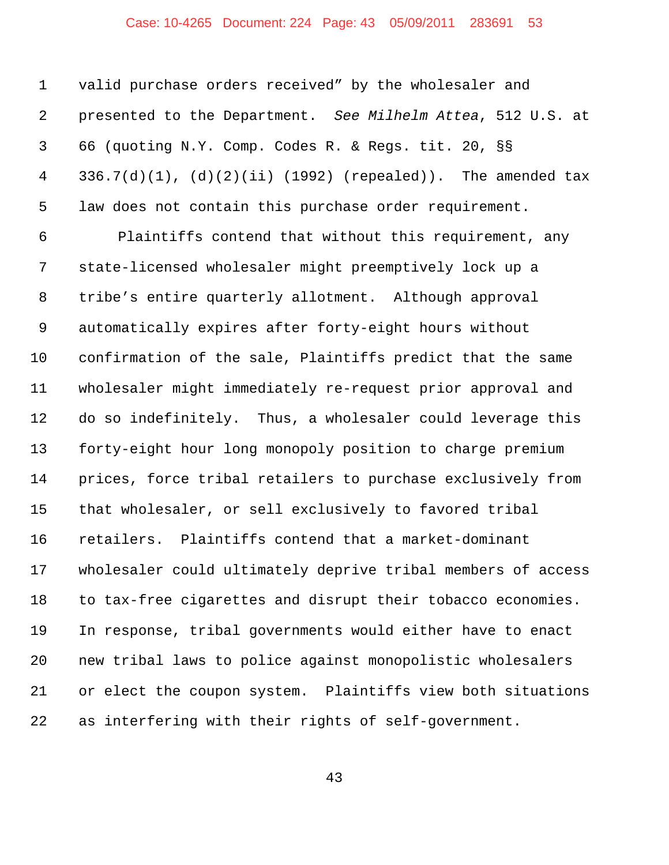## Case: 10-4265 Document: 224 Page: 43 05/09/2011 283691 53

 valid purchase orders received" by the wholesaler and presented to the Department. *See Milhelm Attea*, 512 U.S. at 66 (quoting N.Y. Comp. Codes R. & Regs. tit. 20, §§ 336.7(d)(1), (d)(2)(ii) (1992) (repealed)). The amended tax law does not contain this purchase order requirement.

 Plaintiffs contend that without this requirement, any state-licensed wholesaler might preemptively lock up a tribe's entire quarterly allotment. Although approval automatically expires after forty-eight hours without confirmation of the sale, Plaintiffs predict that the same wholesaler might immediately re-request prior approval and do so indefinitely. Thus, a wholesaler could leverage this forty-eight hour long monopoly position to charge premium prices, force tribal retailers to purchase exclusively from that wholesaler, or sell exclusively to favored tribal retailers. Plaintiffs contend that a market-dominant wholesaler could ultimately deprive tribal members of access to tax-free cigarettes and disrupt their tobacco economies. In response, tribal governments would either have to enact new tribal laws to police against monopolistic wholesalers or elect the coupon system. Plaintiffs view both situations as interfering with their rights of self-government.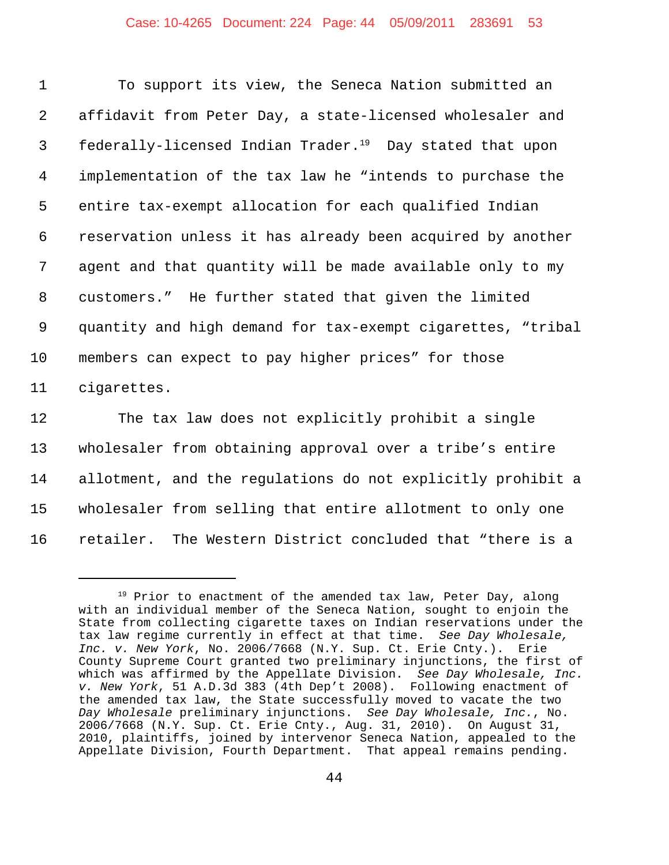#### Case: 10-4265 Document: 224 Page: 44 05/09/2011 283691 53

| $\mathbf{1}$    | To support its view, the Seneca Nation submitted an                  |
|-----------------|----------------------------------------------------------------------|
| 2               | affidavit from Peter Day, a state-licensed wholesaler and            |
| $\mathsf{3}$    | federally-licensed Indian Trader. <sup>19</sup> Day stated that upon |
| 4               | implementation of the tax law he "intends to purchase the            |
| 5               | entire tax-exempt allocation for each qualified Indian               |
| 6               | reservation unless it has already been acquired by another           |
| $7\phantom{.0}$ | agent and that quantity will be made available only to my            |
| 8               | customers." He further stated that given the limited                 |
| 9               | quantity and high demand for tax-exempt cigarettes, "tribal          |
| $10 \,$         | members can expect to pay higher prices" for those                   |
| 11              | cigarettes.                                                          |
|                 |                                                                      |

 The tax law does not explicitly prohibit a single wholesaler from obtaining approval over a tribe's entire allotment, and the regulations do not explicitly prohibit a wholesaler from selling that entire allotment to only one retailer. The Western District concluded that "there is a

<sup>&</sup>lt;sup>19</sup> Prior to enactment of the amended tax law, Peter Day, along with an individual member of the Seneca Nation, sought to enjoin the State from collecting cigarette taxes on Indian reservations under the tax law regime currently in effect at that time. *See Day Wholesale, Inc. v. New York*, No. 2006/7668 (N.Y. Sup. Ct. Erie Cnty.). Erie County Supreme Court granted two preliminary injunctions, the first of which was affirmed by the Appellate Division. *See Day Wholesale, Inc. v. New York*, 51 A.D.3d 383 (4th Dep't 2008). Following enactment of the amended tax law, the State successfully moved to vacate the two *Day Wholesale* preliminary injunctions. *See Day Wholesale, Inc.*, No. 2006/7668 (N.Y. Sup. Ct. Erie Cnty., Aug. 31, 2010). On August 31, 2010, plaintiffs, joined by intervenor Seneca Nation, appealed to the Appellate Division, Fourth Department. That appeal remains pending.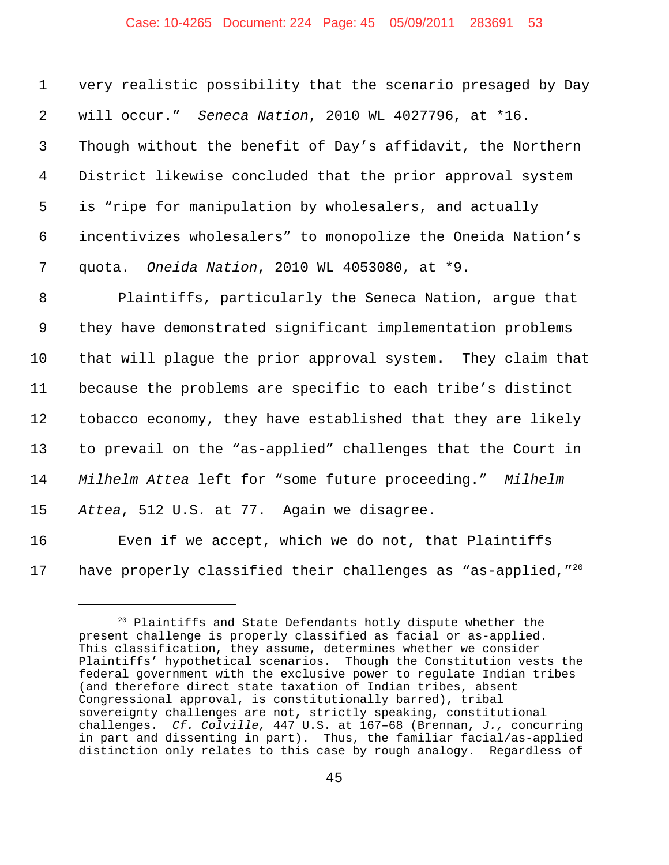#### Case: 10-4265 Document: 224 Page: 45 05/09/2011 283691 53

 very realistic possibility that the scenario presaged by Day will occur." *Seneca Nation*, 2010 WL 4027796, at \*16. Though without the benefit of Day's affidavit, the Northern District likewise concluded that the prior approval system is "ripe for manipulation by wholesalers, and actually incentivizes wholesalers" to monopolize the Oneida Nation's quota. *Oneida Nation*, 2010 WL 4053080, at \*9.

 Plaintiffs, particularly the Seneca Nation, argue that they have demonstrated significant implementation problems that will plague the prior approval system. They claim that because the problems are specific to each tribe's distinct tobacco economy, they have established that they are likely to prevail on the "as-applied" challenges that the Court in *Milhelm Attea* left for "some future proceeding." *Milhelm Attea*, 512 U.S*.* at 77. Again we disagree. Even if we accept, which we do not, that Plaintiffs

17 have properly classified their challenges as "as-applied, $T^{20}$ 

 $20$  Plaintiffs and State Defendants hotly dispute whether the present challenge is properly classified as facial or as-applied. This classification, they assume, determines whether we consider Plaintiffs' hypothetical scenarios. Though the Constitution vests the federal government with the exclusive power to regulate Indian tribes (and therefore direct state taxation of Indian tribes, absent Congressional approval, is constitutionally barred), tribal sovereignty challenges are not, strictly speaking, constitutional challenges. *Cf. Colville,* 447 U.S. at 167–68 (Brennan, *J.,* concurring in part and dissenting in part).Thus, the familiar facial/as-applied distinction only relates to this case by rough analogy. Regardless of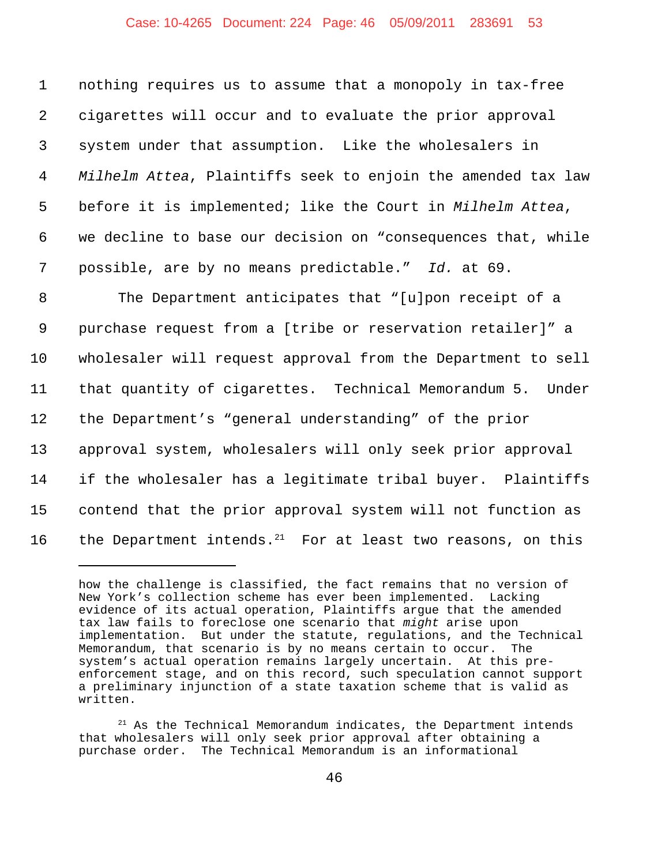#### Case: 10-4265 Document: 224 Page: 46 05/09/2011 283691 53

 nothing requires us to assume that a monopoly in tax-free cigarettes will occur and to evaluate the prior approval system under that assumption. Like the wholesalers in *Milhelm Attea*, Plaintiffs seek to enjoin the amended tax law before it is implemented; like the Court in *Milhelm Attea*, we decline to base our decision on "consequences that, while possible, are by no means predictable." *Id.* at 69.

 The Department anticipates that "[u]pon receipt of a purchase request from a [tribe or reservation retailer]" a wholesaler will request approval from the Department to sell that quantity of cigarettes. Technical Memorandum 5. Under the Department's "general understanding" of the prior approval system, wholesalers will only seek prior approval if the wholesaler has a legitimate tribal buyer. Plaintiffs contend that the prior approval system will not function as 16 the Department intends.<sup>21</sup> For at least two reasons, on this

how the challenge is classified, the fact remains that no version of New York's collection scheme has ever been implemented. Lacking evidence of its actual operation, Plaintiffs argue that the amended tax law fails to foreclose one scenario that *might* arise upon implementation. But under the statute, regulations, and the Technical Memorandum, that scenario is by no means certain to occur. The system's actual operation remains largely uncertain. At this preenforcement stage, and on this record, such speculation cannot support a preliminary injunction of a state taxation scheme that is valid as written.

 $21$  As the Technical Memorandum indicates, the Department intends that wholesalers will only seek prior approval after obtaining a purchase order. The Technical Memorandum is an informational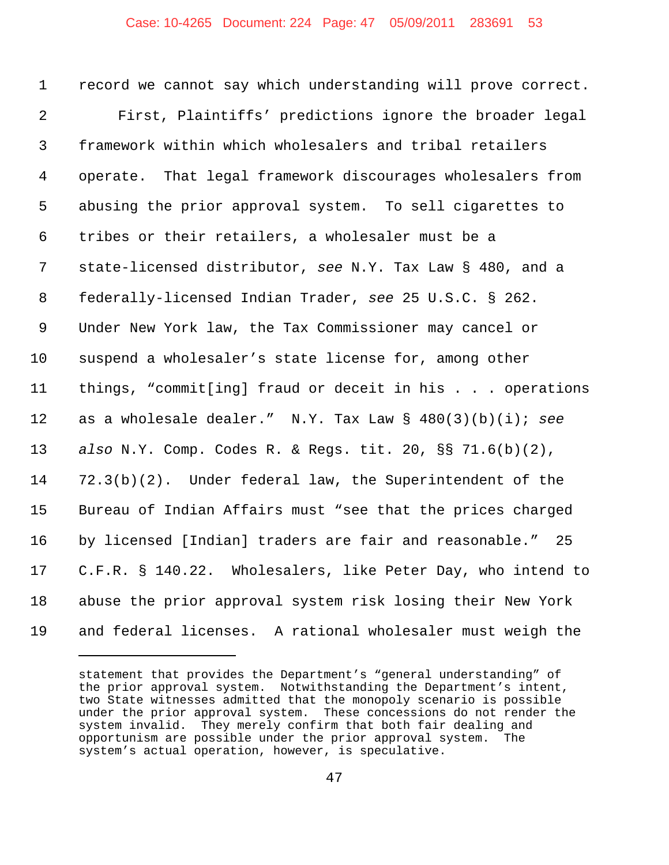record we cannot say which understanding will prove correct. First, Plaintiffs' predictions ignore the broader legal framework within which wholesalers and tribal retailers operate. That legal framework discourages wholesalers from abusing the prior approval system. To sell cigarettes to tribes or their retailers, a wholesaler must be a state-licensed distributor, *see* N.Y. Tax Law § 480, and a federally-licensed Indian Trader, *see* 25 U.S.C. § 262. Under New York law, the Tax Commissioner may cancel or suspend a wholesaler's state license for, among other things, "commit[ing] fraud or deceit in his . . . operations as a wholesale dealer." N.Y. Tax Law § 480(3)(b)(i); *see also* N.Y. Comp. Codes R. & Regs. tit. 20, §§ 71.6(b)(2), 72.3(b)(2). Under federal law, the Superintendent of the Bureau of Indian Affairs must "see that the prices charged by licensed [Indian] traders are fair and reasonable." 25 C.F.R. § 140.22. Wholesalers, like Peter Day, who intend to abuse the prior approval system risk losing their New York and federal licenses. A rational wholesaler must weigh the

statement that provides the Department's "general understanding" of the prior approval system. Notwithstanding the Department's intent, two State witnesses admitted that the monopoly scenario is possible under the prior approval system. These concessions do not render the system invalid. They merely confirm that both fair dealing and opportunism are possible under the prior approval system. The system's actual operation, however, is speculative.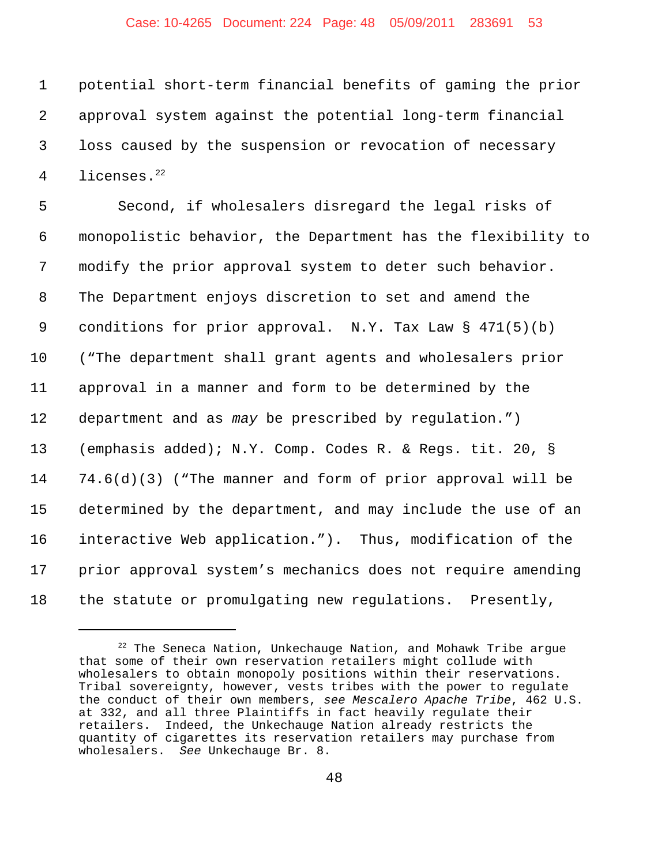#### Case: 10-4265 Document: 224 Page: 48 05/09/2011 283691 53

 potential short-term financial benefits of gaming the prior approval system against the potential long-term financial loss caused by the suspension or revocation of necessary 4 licenses.<sup>22</sup>

5 Second, if wholesalers disregard the legal risks of monopolistic behavior, the Department has the flexibility to modify the prior approval system to deter such behavior. The Department enjoys discretion to set and amend the conditions for prior approval. N.Y. Tax Law § 471(5)(b) ("The department shall grant agents and wholesalers prior approval in a manner and form to be determined by the department and as *may* be prescribed by regulation.") (emphasis added); N.Y. Comp. Codes R. & Regs. tit. 20, § 74.6(d)(3) ("The manner and form of prior approval will be determined by the department, and may include the use of an interactive Web application."). Thus, modification of the prior approval system's mechanics does not require amending the statute or promulgating new regulations. Presently,

 The Seneca Nation, Unkechauge Nation, and Mohawk Tribe argue that some of their own reservation retailers might collude with wholesalers to obtain monopoly positions within their reservations. Tribal sovereignty, however, vests tribes with the power to regulate the conduct of their own members, *see Mescalero Apache Tribe*, 462 U.S. at 332, and all three Plaintiffs in fact heavily regulate their retailers. Indeed, the Unkechauge Nation already restricts the quantity of cigarettes its reservation retailers may purchase from wholesalers. *See* Unkechauge Br. 8.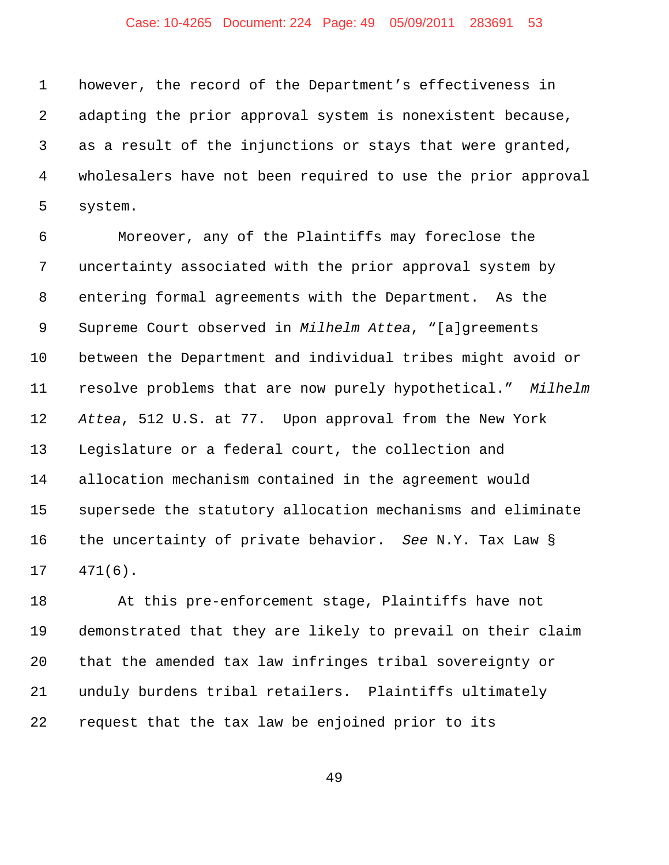## Case: 10-4265 Document: 224 Page: 49 05/09/2011 283691 53

 however, the record of the Department's effectiveness in adapting the prior approval system is nonexistent because, as a result of the injunctions or stays that were granted, wholesalers have not been required to use the prior approval system.

 Moreover, any of the Plaintiffs may foreclose the uncertainty associated with the prior approval system by entering formal agreements with the Department. As the Supreme Court observed in *Milhelm Attea*, "[a]greements between the Department and individual tribes might avoid or resolve problems that are now purely hypothetical." *Milhelm Attea*, 512 U.S. at 77. Upon approval from the New York Legislature or a federal court, the collection and allocation mechanism contained in the agreement would supersede the statutory allocation mechanisms and eliminate the uncertainty of private behavior. *See* N.Y. Tax Law § 471(6).

 At this pre-enforcement stage, Plaintiffs have not demonstrated that they are likely to prevail on their claim that the amended tax law infringes tribal sovereignty or unduly burdens tribal retailers. Plaintiffs ultimately request that the tax law be enjoined prior to its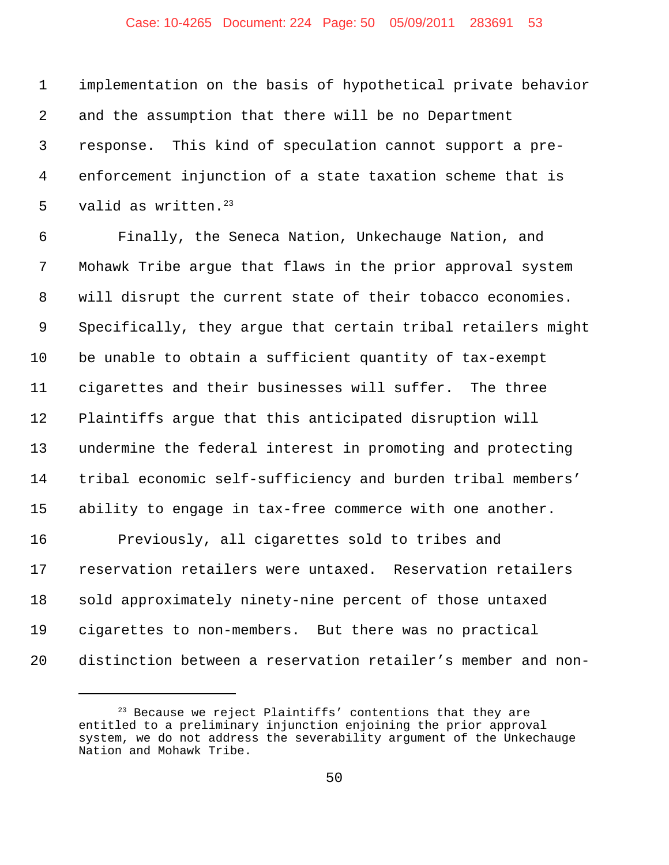## Case: 10-4265 Document: 224 Page: 50 05/09/2011 283691 53

 implementation on the basis of hypothetical private behavior and the assumption that there will be no Department response. This kind of speculation cannot support a pre- enforcement injunction of a state taxation scheme that is 5 valid as written. Finally, the Seneca Nation, Unkechauge Nation, and Mohawk Tribe argue that flaws in the prior approval system will disrupt the current state of their tobacco economies. Specifically, they argue that certain tribal retailers might be unable to obtain a sufficient quantity of tax-exempt cigarettes and their businesses will suffer. The three Plaintiffs argue that this anticipated disruption will undermine the federal interest in promoting and protecting tribal economic self-sufficiency and burden tribal members' ability to engage in tax-free commerce with one another. Previously, all cigarettes sold to tribes and reservation retailers were untaxed. Reservation retailers sold approximately ninety-nine percent of those untaxed cigarettes to non-members. But there was no practical distinction between a reservation retailer's member and non-

 Because we reject Plaintiffs' contentions that they are entitled to a preliminary injunction enjoining the prior approval system, we do not address the severability argument of the Unkechauge Nation and Mohawk Tribe.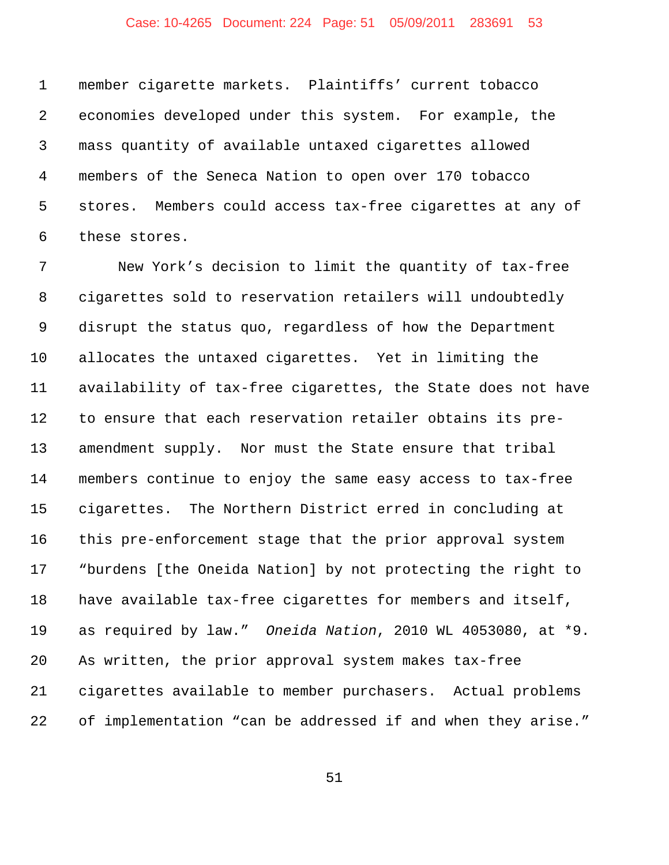## Case: 10-4265 Document: 224 Page: 51 05/09/2011 283691 53

 member cigarette markets. Plaintiffs' current tobacco economies developed under this system. For example, the mass quantity of available untaxed cigarettes allowed members of the Seneca Nation to open over 170 tobacco stores. Members could access tax-free cigarettes at any of these stores.

 New York's decision to limit the quantity of tax-free cigarettes sold to reservation retailers will undoubtedly disrupt the status quo, regardless of how the Department allocates the untaxed cigarettes. Yet in limiting the availability of tax-free cigarettes, the State does not have to ensure that each reservation retailer obtains its pre- amendment supply. Nor must the State ensure that tribal members continue to enjoy the same easy access to tax-free cigarettes. The Northern District erred in concluding at this pre-enforcement stage that the prior approval system "burdens [the Oneida Nation] by not protecting the right to have available tax-free cigarettes for members and itself, as required by law." *Oneida Nation*, 2010 WL 4053080, at \*9. As written, the prior approval system makes tax-free cigarettes available to member purchasers. Actual problems of implementation "can be addressed if and when they arise."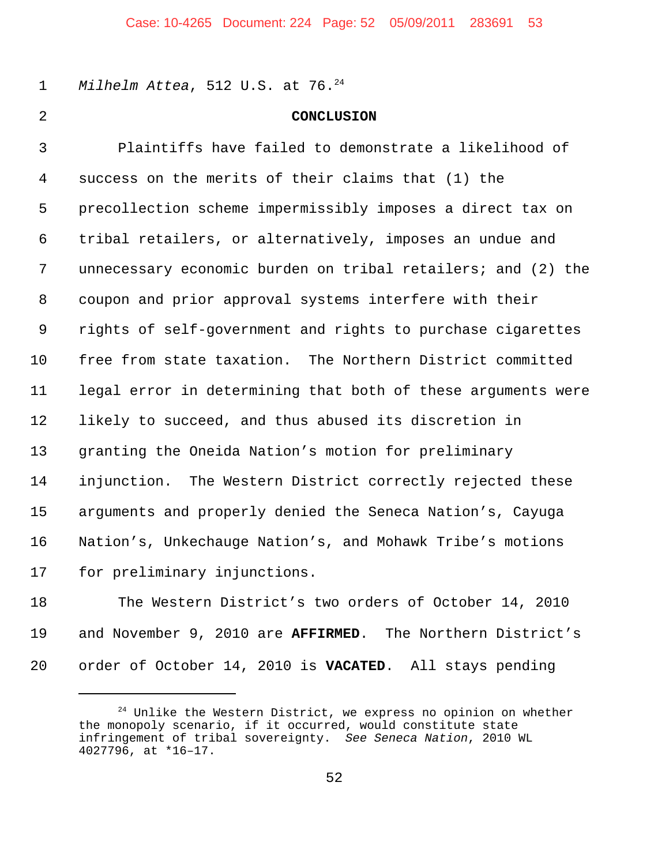1 Milhelm Attea, 512 U.S. at 76.<sup>24</sup>

## **CONCLUSION**

 Plaintiffs have failed to demonstrate a likelihood of success on the merits of their claims that (1) the precollection scheme impermissibly imposes a direct tax on tribal retailers, or alternatively, imposes an undue and unnecessary economic burden on tribal retailers; and (2) the coupon and prior approval systems interfere with their rights of self-government and rights to purchase cigarettes free from state taxation. The Northern District committed legal error in determining that both of these arguments were likely to succeed, and thus abused its discretion in granting the Oneida Nation's motion for preliminary injunction. The Western District correctly rejected these arguments and properly denied the Seneca Nation's, Cayuga Nation's, Unkechauge Nation's, and Mohawk Tribe's motions for preliminary injunctions.

 The Western District's two orders of October 14, 2010 and November 9, 2010 are **AFFIRMED**. The Northern District's order of October 14, 2010 is **VACATED**. All stays pending

 Unlike the Western District, we express no opinion on whether the monopoly scenario, if it occurred, would constitute state infringement of tribal sovereignty. *See Seneca Nation*, 2010 WL 4027796, at \*16–17.